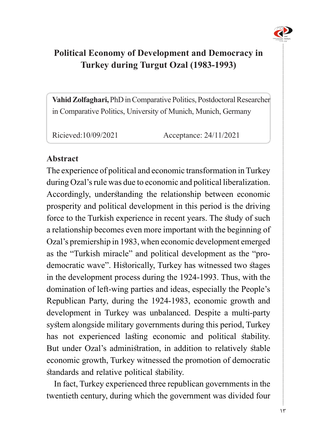

# **Political Economy of Development and Democracy in Turkey during Turgut Ozal (1983-1993)**

Vahid Zolfaghari, PhD in Comparative Politics, Postdoctoral Researcher in Comparative Politics, University of Munich, Munich, Germany

Ricieved:10/09/2021 Acceptance: 24/11/2021

#### **Abstract**

The experience of political and economic transformation in Turkey during Ozal's rule was due to economic and political liberalization. Accordingly, understanding the relationship between economic prosperity and political development in this period is the driving force to the Turkish experience in recent years. The study of such a relationship becomes even more important with the beginning of Ozal's premiership in 1983, when economic development emerged democratic wave". Historically, Turkey has witnessed two stages as the "Turkish miracle" and political development as the "proin the development process during the 1924-1993. Thus, with the domination of left-wing parties and ideas, especially the People's Republican Party, during the 1924-1983, economic growth and development in Turkey was unbalanced. Despite a multi-party system alongside military governments during this period, Turkey has not experienced lasting economic and political stability. But under Ozal's administration, in addition to relatively stable economic growth, Turkey witnessed the promotion of democratic standards and relative political stability.

In fact, Turkey experienced three republican governments in the twentieth century, during which the government was divided four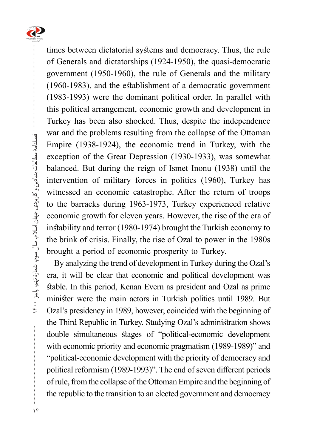

times between dictatorial systems and democracy. Thus, the rule of Generals and dictatorships (1924-1950), the quasi-democratic government (1950-1960), the rule of Generals and the military  $(1960-1983)$ , and the establishment of a democratic government  $(1983-1993)$  were the dominant political order. In parallel with this political arrangement, economic growth and development in Turkey has been also shocked. Thus, despite the independence war and the problems resulting from the collapse of the Ottoman Empire (1938-1924), the economic trend in Turkey, with the exception of the Great Depression (1930-1933), was somewhat balanced. But during the reign of Ismet Inonu (1938) until the intervention of military forces in politics (1960), Turkey has witnessed an economic catastrophe. After the return of troops to the barracks during 1963-1973, Turkey experienced relative economic growth for eleven years. However, the rise of the era of instability and terror (1980-1974) brought the Turkish economy to the brink of crisis. Finally, the rise of Ozal to power in the 1980s brought a period of economic prosperity to Turkey.

By analyzing the trend of development in Turkey during the Ozal's era, it will be clear that economic and political development was stable. In this period, Kenan Evern as president and Ozal as prime minister were the main actors in Turkish politics until 1989. But Ozal's presidency in 1989, however, coincided with the beginning of the Third Republic in Turkey. Studying Ozal's administration shows double simultaneous stages of "political-economic development with economic priority and economic pragmatism (1989-1989)" and "political-economic development with the priority of democracy and political reformism (1989-1993)". The end of seven different periods of rule, from the collapse of the Ottoman Empire and the beginning of the republic to the transition to an elected government and democracy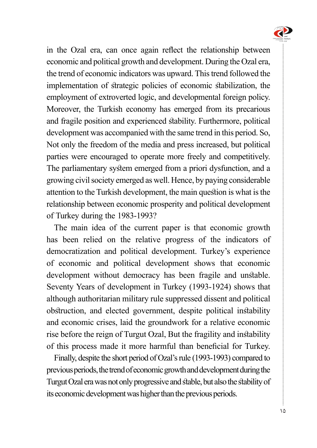

in the Ozal era, can once again reflect the relationship between economic and political growth and development. During the Ozal era, the trend of economic indicators was upward. This trend followed the implementation of strategic policies of economic stabilization, the employment of extroverted logic, and developmental foreign policy. Moreover, the Turkish economy has emerged from its precarious and fragile position and experienced stability. Furthermore, political development was accompanied with the same trend in this period. So, Not only the freedom of the media and press increased, but political parties were encouraged to operate more freely and competitively. The parliamentary system emerged from a priori dysfunction, and a growing civil society emerged as well. Hence, by paying considerable attention to the Turkish development, the main question is what is the relationship between economic prosperity and political development of Turkey during the 1983-1993?

The main idea of the current paper is that economic growth has been relied on the relative progress of the indicators of democratization and political development. Turkey's experience of economic and political development shows that economic development without democracy has been fragile and unstable. Seventy Years of development in Turkey (1993-1924) shows that although authoritarian military rule suppressed dissent and political obstruction, and elected government, despite political instability and economic crises, laid the groundwork for a relative economic rise before the reign of Turgut Ozal, But the fragility and instability of this process made it more harmful than beneficial for Turkey.

Finally, despite the short period of Ozal's rule (1993-1993) compared to previous periods, the trend of economic growth and development during the Turgut Ozal era was not only progressive and stable, but also the stability of its economic development was higher than the previous periods.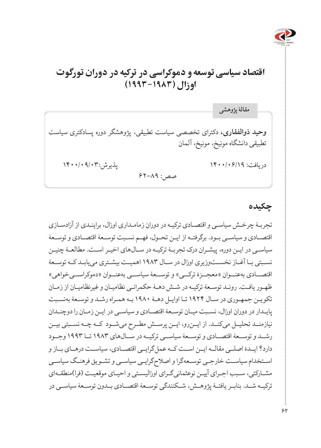

# **اقتصاد سیاسی توسعه و دموکراسی در ترکیه در دوران تورگوت اوزال )۱۹۹۳-۱۹۸۳(**

**وحید ذوالفقاری،** دکترای تخصصی سیاست تطبیقی، پژوهشگر دوره پسادکتری سیاست تطبیقی دانشگاه مونیخ، مونیخ، آلمان دریافت: ۱۴۰۰/۰۶/۱۹ پذیرش: ۱۴۰۰/۰۹/۰۳ صص: 62-89 **مقالۀ پژوهشی**

### **چکیده**

تجربـۀ چرخـش سیاسـی و اقتصـادی ترکیـه در دوران زمامـداری اوزال، براینـدی از آزادسـازی اقتصـادی و سیاسـی بـود. برگرفتـه از ایـن تحـول، فهـم نسـبت توسـعۀ اقتصـادی و توسـعۀ سیاسـی در ایـن دوره، پیشـران درک تجربـۀ ترکیـه در سـالهای اخیـر اسـت. مطالعـۀ چنیـن نسـبتی بـا آغـاز نخسـتوزیری اوزال در سـال ۱۹۸۳ اهمیـت بیشـتری مییابـد کـه توسـعۀ اقتصــادی بهعنــوان »معجــزۀ ترکــی« و توســعۀ سیاســی بهعنــوان »دموکراســیخواهی« ظهـور یافـت. رونـد توسـعۀ ترکیـه در شـش دهـۀ حکمرانـی نظامیـان و غیرنظامیـان از زمـان تکویـن جمهـوری در سـال ۱۹۲۴ تـا اوایـل دهـۀ 1980 بـه همـراه رشـد و توسـعۀ بهنسـبت پایـدار در دوران اوزال، نسـبت میـان توسـعۀ اقتصـادی و سیاسـی در ایـن زمـان را دوچنـدان نیازمنــد تحلیــل میکنــد. از ایــنرو، ایــن پرســش مطــرح میشــود کــه چــه نســبتی بیــن رشــد و توســعۀ اقتصــادی و توســعۀ سیاســی ترکیــه در ســالهای ۱۹۸۳ تــا ۱۹۹۳ وجــود دارد؟ ایــدۀ اصلــی مقالــه ایــن اســت کــه عملگرایــی اقتصــادی، سیاســت درهــای بــاز و اسـتخدام سیاسـت خارجـی توسـعهگرا و اصالحگرایـی سیاسـی و تشـویق فرهنـگ سیاسـی مشـارکتی، سـبب اجـرای آییـن نوعثمانیگـرای اوزالیسـتی و احیـای موقعیـت )فرا(منطقـهای ترکیــه شــد. بنابــر یافتــۀ پژوهــش، شــکنندگی توســعۀ اقتصــادی بــدون توســعۀ سیاســی در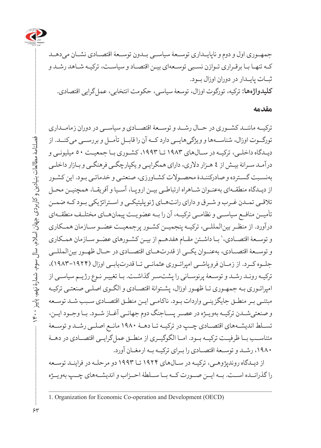

جمهــوری اول و دوم و ناپایــداری توســعۀ سیاســی بــدون توســعۀ اقتصــادی نشــان میدهــد کـه تنهـا بـا برقـراری تـوازن نسـبی توسـعهای بیـن اقتصـاد و سیاسـت، ترکیـه شـاهد رشـد و ثبــات پایــدار در دوران اوزال بــود. **کلیدواژهها:** ترکیه، تورگوت اوزال، توسعۀ سیاسی، حکومت انتخابی، عملگرایی اقتصادی.

#### **مقدمه**

ترکیــه ماننــد کشــوری در حــال رشــد و توســعۀ اقتصــادی و سیاســی در دوران زمامــداری تورگــوت اوزال، شناســهها و ویژگیهایــی دارد کــه آن را قابــل تأمــل و بررســی میکنــد. از دیـدگاه داخلـی، ترکیـه در سـالهای ۱۹۸۳ تـا ،۱۹۹۳ کشـوری بـا جمعیـت 50 میلیونـی و درآمـد سـرانۀ بیـش از 4 هـزار دالری، دارای همگرایـی و یکپارچگـی فرهنگـی و بـازار داخلـی بهنسـبت گسـترده و صادرکننـدۀ محصـوالت کشـاورزی، صنعتـی و خدماتـی بـود. این کشـور از دیـدگاه منطقـهای بهعنـوان شـاهراه ارتباطـی بیـن اروپـا، آسـیا و آفریقـا، همچنیـن محـل تالقـی تمـدن غـرب و شـرق و دارای رانتهـای ژئوپلیتیکـی و اسـتراتژیکی بـود کـه ضمـن تأمیــن منافــع سیاســی و نظامــی ترکیــه، آن را بــه عضویــت پیمانهــای مختلــف منطقــهای درآورد. از منظــر بینالمللــی، ترکیــه پنجمیــن کشــور پرجمعیــت عضــو ســازمان همــکاری و توسـعۀ اقتصـادي،' بـا داشـتن مقـام هفدهـم از بيـن كشـورهاي عضـو سـازمان همـكاري و توســعۀ اقتصــادی، بهعنــوان یکــی از قدرتهــای اقتصــادی در حــال ظهــور بینالمللــی جلــوه کــرد. از زمــان فروپاشــی امپراتــوری عثمانــی تــا قدرتیابــی اوزال )۱۹۸۳-۱۹۲۴(، ترکیـه رونـد رشـد و توسـعۀ پرنوسـانی را پشتسـر گذاشـت. بـا تغییـر نـوع رژیـم سیاسـی از امپراتـوری بـه جمهـوری تـا ظهـور اوزال، پشـتوانۀ اقتصـادی و الگـوی اصلـی صنعتـی ترکیـه مبتنـی بـر منطـق جایگزینـی واردات بـود. ناکامـی ایـن منطـق اقتصـادی سـبب شـد توسـعه و صنعتیشــدن ترکیــه بهویــژه در عصــر پســاجنگ دوم جهانــی آغــاز شــود. بــا وجــود ایـن، تســلط اندیشــههای اقتصــادی چــپ در ترکیــه تــا دهــۀ ۱۹۸۰ مانــع اصلــی رشــد و توســعۀ متناســب بــا ظرفیــت ترکیــه بــود. امــا الگوگیــری از منطــق عملگرایــی اقتصــادی در دهــۀ ،۱۹۸۰ رشـد و توسـعۀ اقتصـادی را بـرای ترکیـه بـه ارمغـان آورد.

از دیـدگاه روندپژوهـی، ترکیـه در سـالهای ۱۹۲۴ تـا ۱۹۹۳ دو مرحلـه در فراینـد توسـعه را گذرانــده اســت. بــه ایــن صــورت کــه بــا ســلطۀ احــزاب و اندیشــههای چــپ بهویــژه

<sup>1.</sup> Organization for Economic Co-operation and Development (OECD)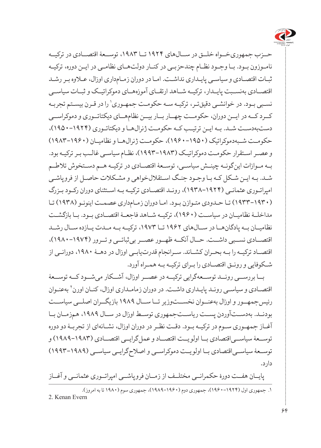

حــزب جمهوریخــواه خلــق در ســالهای ۱۹۲۴ تــا ،۱۹۸۳ توســعۀ اقتصــادی در ترکیــه نامـوزون بـود. بـا وجـود نظـام چندحزبـی در کنـار دولتهـای نظامـی در ایـن دوره، ترکیـه ثبـات اقتصـادی و سیاسـی پایـداری نداشـت. امـا در دوران زمـامداری اوزال، عـاوه بـر رشـد اقتصــادی بهنســبت پایــدار، ترکیــه شــاهد ارتقــای آموزههــای دموکراتیــک و ثبــات سیاســی نسـبي بـود. در خوانشـي دقيقتـر، تركيـه سـه حكومـت جمهـوري' را در قـرن بيسـتم تجربـه کــرد کــه در ایــن دوران، حکومــت چهــار بــار بیــن نظامهــای دیکتاتــوری و دموکراســی دستبهدسـت شـد. بـه ایـن ترتیـب کـه حکومـت ژنرالهـا و دیکتاتـوری )۱۹۵۰-۱۹۲۴(، حکومــت شــبهدموکراتیک )۱۹۶۰-۱۹۵۰(، حکومــت ژنرالهــا و نظامیــان )۱۹۸۳-۱۹۶۰( و عصـر اسـتقرار حکومـت دموکراتیـک )۱۹۹۳-۱۹۸۳(، نظـام سیاسـی غالـب بـر ترکیـه بود. بــه مــوازات اینگونــه چینــش سیاســی، توســعۀ اقتصــادی در ترکیــه هــم دســتخوش تالطــم شـد. بـه ایـن شـکل کـه بـا وجـود جنـگ اسـتقاللخواهی و مشـکالت حاصـل از فروپاشـی امپراتـوری عثمانـی )۱۹۳۸-۱۹۲۴(، رونـد اقتصـادی ترکیـه بـه اسـتثنای دوران رکـود بـزرگ )۱۹۳۳-۱۹۳۰( تـا حـدودی متـوازن بـود. امـا دوران زمـامداری عصمـت اینونـو )۱۹۳۸( تـا مداخلــۀ نظامیــان در سیاســت )۱۹۶۰(، ترکیــه شــاهد فاجعــۀ اقتصــادی بــود. بــا بازگشــت نظامیــان بــه پادگانهــا در ســالهای ۱۹۶۲ تــا ،۱۹۷۳ ترکیــه بــه مــدت یــازده ســال رشــد اقتصــادی نســبی داشــت. حــال آنکــه ظهــور عصــر بیثباتــی و تــرور )۱۹۸۰-۱۹۷۴(، اقتصــاد ترکیــه را بــه بحــران کشــاند. ســرانجام قدرتیابــی اوزال در دهــۀ ،۱۹۸۰ دورانــی از شـکوفایی و رونـق اقتصـادی را بـرای ترکیـه بـه همـراه آورد.

بــا بررســی رونــد توســعهگرایی ترکیــه در عصــر اوزال، آشــکار میشــود کــه توســعۀ اقتصـادی و سیاسـی رونـد پایـداری داشـت. در دوران زمامـداری اوزال، کنـان اورن<sup>۲</sup> بهعنـوان رئیسجمهــور و اوزال بهعنــوان نخســتوزیر تــا ســال ۱۹۸۹ بازیگــران اصلــی سیاســت بودنــد. بهدســتآوردن پســت ریاســتجمهوری توســط اوزال در ســال ،۱۹۸۹ همزمــان بــا آغـاز جمهـوری سـوم در ترکیـه بـود. دقـت نظـر در دوران اوزال، نشـانهای از تجربـۀ دو دوره توســعۀ سیاســیاقتصادی بــا اولویــت اقتصــاد و عملگرایــی اقتصــادی )۱۹۸۹-۱۹۸۳( و توســعۀ سیاســیاقتصادی بــا اولویــت دموکراســی و اصالحگرایــی سیاســی )۱۹۹۳-۱۹۸۹( دارد.

پایــان هفــت دورۀ حکمرانــی مختلــف از زمــان فروپاشــی امپراتــوری عثمانــی و آغــاز .1 جمهوری اول )۱۹۶۰-۱۹۲۴(، جمهوری دوم )۱۹۸۹-۱۹۶۰(، جمهوری سوم )۱۹۸۰ تا به امروز(. 2. Kenan Evern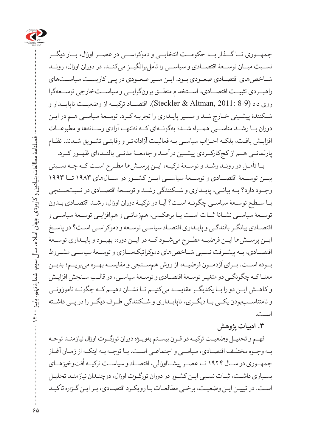

جمهــوری تــا گــذار بــه حکومــت انتخابــی و دموکراســی در عصــر اوزال، بــار دیگــر نســبت میــان توســعۀ اقتصــادی و سیاســی را تأملبرانگیــز میکنــد. در دوران اوزال، رونــد شــاخص های اقتصــادی صعــودی بــود. ایــن ســیر صعــودی در پــی کاربســت سیاســتهای راهبــردی تثبیــت اقتصــادی، اســتخدام منطــق برونگرایــی و سیاســتخارجی توســعهگرا روی داد (8-9 2011: ,Altman & Steckler(. اقتصــاد ترکیــه از وضعیــت ناپایــدار و شـکنندۀ پیشـینی خـارج شـد و مسـیر پایـداری را تجربـه کـرد. توسـعۀ سیاسـی هـم در ایـن دوران بــا رشــد مناســبی همــراه شــد؛ بهگونــهای کــه نهتنهــا آزادی رســانهها و مطبوعــات افزایـش یافـت، بلکـه احـزاب سیاسـی بـه فعالیـت آزادانهتـر و رقابتـی تشـویق شـدند. نظـام پارلمانــی هــم از کجکارکــردی پیشــین درآمــد و جامعــۀ مدنــی بالنــدهای ظهــور کــرد.

بـا تأمـل در رونـد رشـد و توسـعۀ ترکیـه، ایـن پرسـشها مطـرح اسـت کـه چـه نسـبتی بیــن توســعۀ اقتصــادی و توســعۀ سیاســی ایــن کشــور در ســالهای ۱۹۸۳ تــا ۱۹۹۳ وجــود دارد؟ بــه بیانــی، پایــداری و شــکنندگی رشــد و توســعۀ اقتصــادی در نسبتســنجی بـا سـطح توسـعۀ سیاسـی چگونـه اسـت؟ آیـا در ترکیـۀ دوران اوزال، رشـد اقتصـادی بـدون توسـعۀ سیاسـی نشـانۀ ثبـات اسـت یـا برعکـس، همزمانـی و همافزایـی توسـعۀ سیاسـی و اقتصـادی بیانگـر بالندگـی و پایـداری اقتصـاد سیاسـی توسـعه و دموکراسـی اسـت؟ در پاسـخ ایــن پرســش۵ما ایــن فرضیــه مطــرح میشــود کــه در ایــن دوره، بهبــود و پایــداری توســعۀ اقتصــادی، بـه پیشــرفت نسـبی شــاخص های دموکراتیکســازی و توســعۀ سیاســی مشــروط بــوده اســت. بــرای آزدمــون فرضیــه، از روش همســنجی و مقایســه بهــره میبریــم؛ بدیــن معنـا کـه چگونگـی دو متغیـر توسـعۀ اقتصـادی و توسـعۀ سیاسـی، در قالـب سـنجش افزایـش و کاهــش ایــن دو را بــا یکدیگــر مقایســه میکنیــم تــا نشــان دهیــم کــه چگونــه ناموزونــی و نامتناســببودن یکــی بــا دیگــری، ناپایــداری و شــکنندگی طــرف دیگــر را در پــی داشــته اسـت.

**.3 ادبیات پژوهش**

فهـم و تحلیـل وضعیـت ترکیـه در قـرن بیسـتم بهویـژه دوران تورگـوت اوزال نیازمنـد توجـه بـه وجـوه مختلـف اقتصـادی، سیاسـی و اجتماعـی اسـت. بـا توجـه بـه اینکـه از زمـان آغـاز . . . . .<br>جمهــوری در ســال ۱۹۲۴ تــا عصــر پیشــااوزالی، اقتصــاد و سیاســت ترکیــه اُفتـوخیزهــای بسـیاری داشـت، ثبـات نسـبی ایـن کشـور در دوران تورگـوت اوزال، دوچنـدان نیازمنـد تحلیـل اسـت. در تبییـن ایـن وضعیـت، برخـی مطالعـات بـا رویکـرد اقتصـادی، بـر ایـن گـزاره تأکیـد

 فصلنامۀ مطالعات بنیادین و کاربردی جهان اسالم، سال سوم، شمارۀ نهم، پاییز 1400 فصلنامهٔ مطالعات بنیادین و کاربردی جهان اسلام، سال سوم، شمارهٔ نهم، پاییز ينو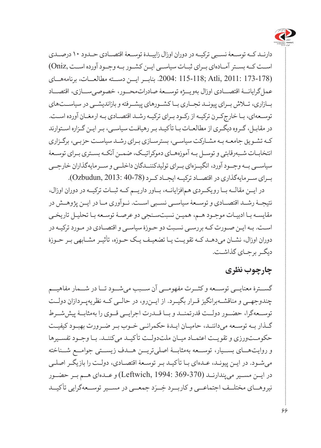

دارنــد کــه توســعۀ نســبی ترکیــه در دوران اوزال زاییــدۀ توســعۀ اقتصــادی حــدود ۱۰ درصــدی اســت کــه بســتر آمــادهای بــرای ثبــات سیاســی ایــن کشــور بــه وجــود آورده اســت ,Oniz( (173-178 2011: ,Atli; 115-118 .2004: بنابــر ایــن دســته مطالعــات، برنامههــای عملگرایانــۀ اقتصــادی اوزال بهویــژه توســعۀ صادراتمحــور، خصوصیســازی، اقتصــاد بــازاری، تــاش بــرای پیونــد تجــاری بــا کشــورهای پیشــرفته و بازاندیشــی در سیاســتهای توسـعهای، بـا خارجکـرن ترکیـه از رکـود بـرای ترکیـه رشـد اقتصـادی بـه ارمغـان آورده اسـت. در مقابـل، گـروه دیگـری از مطالعـات بـا تأکیـد بـر رهیافـت سیاسـی، بـر ایـن گـزاره اسـتوارند کـه تشـویق جامعـه بـه مشـارکت سیاسـی، بسترسـازی بـرای رشـد سیاسـت حزبـی، برگـزاری انتخابـات شـبهرقابتی و توسـل بـه آموزههـای دموکراتیـک، ضمـن آنکـه بسـتری بـرای توسـعۀ سیاســی بــه وجــود آورد، انگیــزهای بــرای تولیدکننــدگان داخلــی و ســرمایهگذاران خارجــی بــرای ســرمایهگذاری در اقتصــاد ترکیــه ایجــاد کــرد (40-78 2013: ,Ozbudun(.

در ایــن مقالــه بــا رویکــردی همافزایانــه، بــاور داریــم کــه ثبــات ترکیــه در دوران اوزال، نتیجــۀ رشــد اقتصــادی و توســعۀ سیاســی نســبی اســت. نــوآوری مــا در ایــن پژوهــش در مقایسـه بـا ادبیـات موجـود هـم، همیـن نسبتسـنجی دو عرصـۀ توسـعه بـا تحلیـل تاریخـی اسـت. بـه ایـن صـورت کـه بررسـی نسـبت دو حـوزۀ سیاسـی و اقتصـادی در مـورد ترکیـه در دوران اوزال، نشـان میدهـد کـه تقویـت یـا تضعیـف یـک حـوزه، تأثیـر مشـابهی بـر حـوزۀ دیگـر برجـای گذاشـت.

## **چارچوب نظری**

گســترۀ معنایــی توســعه و کثــرت مفهومــی آن ســبب میشــود تــا در شــمار مفاهیــم چندوجهــی و مناقشــهبرانگیز قــرار بگیــرد. از ایــنرو، در حالــی کــه نظریهپــردازان دولــت توســعهگرا، حضــور دولــت قدرتمنــد و بــا قــدرت اجرایــی قــوی را بهمثابــۀ پیششــرط گـذار بـه توسـعه میداننـد، حامیـان ایـدۀ حکمرانـی خـوب بـر ضـرورت بهبـود کیفیـت حکومــتورزی و تقویــت اعتمــاد میــان ملتدولــت تأ کیــد میکننــد. بــا وجــود تفســیرها و روایتهــای بســیار، توســعه بهمثابــۀ اصلیتریــن هــدف زیســتی جوامــع شــناخته میشـود. در ایـن پیونـد، عـدهای بـا تأ کیـد بـر توسـعۀ اقتصـادی، دولـت را بازیگـر اصلـی در ایــن مســیر میپندارنــد (369-370 1994: ,Leftwich (و عــدهای هــم بــر حضــور نیروهــای مختلــف اجتماعــی و کاربــرد خِــرَد جمعــی در مســیر توســعهگرایی تأکیــد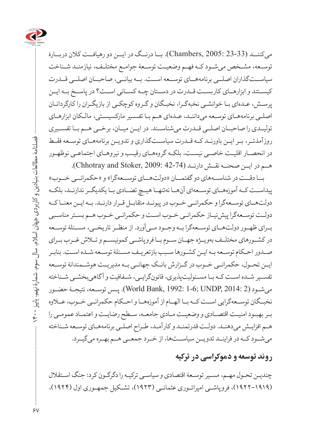

میکننــد (23-33 2005: ,Chambers(. بــا درنــگ در ایــن دو رهیافــت کالن دربــارۀ توسـعه، مشـخص میشـود کـه فهـم وضعیـت توسـعۀ جوامـع مختلـف، نیازمنـد شـناخت سیاســتگذاران اصلــی برنامههــای توســعه اســت. بــه بیانــی، صاحبــان اصلــی قــدرت کیســتند و ابزارهــای کاربســت قــدرت در دســتان چــه کســانی اســت؟ در پاســخ بــه ایــن پرسـش، عـدهای بـا خوانشـی نخبهگـرا، نخبـگان و گـروه کوچکـی از بازیگـران را کارگردانـان اصلـی برنامههـای توسـعه میداننـد، عـدهای هـم بـا تفسـیر مارکسیسـتی، مالـکان ابزارهـای تولیــدی را صاحبــان اصلــی قــدرت میشناســند. در ایــن میــان، برخــی هــم بــا تفســیری روزآمدتــر، بــر ایــن باورنــد کــه قــدرت سیاســتگذاری و تدویــن برنامههــای توســعه فقــط در انحصـار اقلیـت خاصـی نیسـت، بلکـه گروههـای رقیـب و نیروهـای اجتماعـی نوظهـور هــم در ایــن صحنــه نقــش دارنــد (44-42 Chhotray and Stoker, 2009:

بــا دقــت در شناســههای دو گفتمــان »دولتهــای توســعهگرا« و »حکمرانــی خــوب« پیداســت کــه آموزههــای توســعهای آنهــا نهتنهــا هیــچ تضــادی بــا یکدیگــر ندارنــد، بلکــه دولتهــای توســعهگرا و حکمرانــی خــوب در پیونــد متقابــل قــرار دارنــد. بــه ایــن معنــا کــه دولـت توسـعهگرا پیشنیـاز حکمرانـی خـوب اسـت و حکمرانـی خـوب هـم بسـتر مناسـبی بــرای ظهــور دولتهــای توســعهگرا بــه وجــود مــیآورد. از منظــر تاریخــی، مســئلۀ توســعه در کشــورهای مختلــف بهویــژه جهــان ســوم بــا فروپاشــی کمونیســم و تــاش غــرب بــرای صـدور احـکام توسـعه بـه ایـن کشـورها سـبب بازتعریـف مسـئلۀ توسـعه شـده اسـت. بنابـر ایــن تحــول، حکمرانــی خــوب در گــزارش بانــک جهانــی بــه مدیریــت هوشــمندانۀ توســعه تفسـیر شـده اسـت کـه بـا مسـئولیتپذیری، قانونگرایـی، شـفافیت و آگاهیبخشـی شـناخته میشـود (2 2014: ,UNDP; 1-6 1992: ,Bank World(. پـس توسـعه، نتیجـۀ حضـور نخبــگان توســعهگرایی اســت کــه بــا الهــام از آموزههــا و احــکام حکمرانــی خــوب، عــاوه بـر بهبـود امنیـت اقتصـادی و وضعیـت مـادی جامعـه، سـطح رضایـت و اعتمـاد عمومـی را هـم افزایـش میدهنـد. دولـت قدرتمنـد و کارآمـد، طـراح اصلـی برنامههـای توسـعه شـناخته میشــود کــه در فراینــد تدویــن سیاســتها، از خــرد جمعــی هــم بهــره میگیــرد.

### **روند توسعه و دموکراسی در ترکیه**

چندیـن تحـول مهـم، مسـیر توسـعۀ اقتصادی و سیاسـی ترکیـه را دگرگـون کرد: جنگ اسـتقالل )۱۹۲۲-۱۹۱۹(، فروپاشـی امپراتـوری عثمانـی )۱۹۲۳(، تشـکیل جمهـوری اول )۱۹۲۴(،

 $\gamma$ 

 $\Upsilon$ 

فصلنامۀ مطالعات بنیادین و کاربردی جهان اسالم، سال سوم، شمارۀ نهم، پاییز 1400

فصلنامه مطالعات بنیادین و کاربردی جهان اسلام، سال سوم، شمارهٔ نهم، پاییز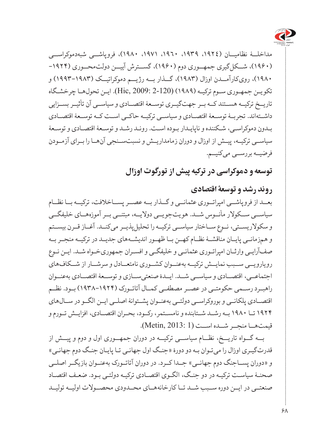

مداخلــۀ نظامیــان )،1924 ،1939 ،1960 ،1971 1980(، فروپاشــی شبهدموکراســی )۱۹۶۰(، شــکلگیری جمهــوری دوم )۱۹۶۰(، گســترش آییــن دولتمحــوری )-۱۹۲۴ ۱۹۸۰(، رویکارآمــدن اوزال )۱۹۸۳(، گــذار بــه رژیــم دموکراتیــک )۱۹۹۳-۱۹۸۳( و تکویـن جمهـوری سـوم ترکیـه )۱۹۸۹( (2-120 2009: ,Hic(. ایـن تحولهـا چرخشـگاه تاریــخ ترکیــه هســتند کــه بــر جهتگیــری توســعۀ اقتصــادی و سیاســی آن تأثیــر بســزایی داشــتهاند. تجربــۀ توســعۀ اقتصــادی و سیاســی ترکیــه حاکــی اســت کــه توســعۀ اقتصــادی بـدون دموکراسـی، شـکننده و ناپایـدار بـوده اسـت. رونـد رشـد و توسـعۀ اقتصـادی و توسـعۀ سیاســی ترکیــه، پیــش از اوزال و دوران زمامداریــش و نسبتســنجی آنهــا را بــرای آزمــودن فرضیــه بررســی میکنیــم.

**توسعه و دموکراسی در ترکیه پیش از تورگوت اوزال**

**روند رشد و توسعۀ اقتصادی** بعــد از فروپاشــی امپراتــوری عثمانــی و گــذار بــه عصــر پســاخالفت، ترکیــه بــا نظــام سیاســی ســکوالر مأنــوس شــد. هویتجویــی دوالیــه، مبتنــی بــر آموزههــای خلیفگــی و سکوالریســتی، نــوع ســاختار سیاســی ترکیــه را تحلیلپذیــر میکنــد. آغــاز قــرن بیســتم و همزمانــی پایــان مناقشــۀ نظــام کهــن بــا ظهــور اندیشــههای جدیــد در ترکیــه منجــر بــه صفآرایـی وارثـان امپراتـوری عثمانـی و خلیفگـی و افسـران جمهوریخـواه شـد. ایـن نـوع رویارویــی ســبب نمایــش ترکیــه بهعنــوان کشــوری نامتعــادل و سرشــار از شــکافهای اجتماعــی، اقتصــادی و سیاســی شــد. ایــدۀ صنعتیســازی و توســعۀ اقتصــادی بهعنــوان راهبــرد رســمی حکومتــی در عصــر مصطفــی کمــال آتاتــورک )۱۹۳۸-۱۹۲۴( بــود. نظــم اقتصــادی پلکانــی و بوروکراســی دولتــی بهعنــوان پشــتوانۀ اصلــی ایــن الگــو در ســالهای ۱۹۲۴ تــا ۱۹۸۰ بــه رشــد شــتابنده و نامســتمر، رکــود، بحــران اقتصــادی، افزایــش تــورم و قیمتهــا منجــر شــده اســت (1 2013: ,Metin(.

بــه گــواه تاریــخ، نظــام سیاســی ترکیــه در دوران جمهــوری اول و دوم و پیــش از قدرتگیـری اوزال را میتـوان بـه دو دورۀ »جنـگ اول جهانـی تـا پایـان جنـگ دوم جهانـی« و «دوران پســاجنگ دوم جهانــی» جــدا کــرد. در دوران آتاتــورک بهعنــوان بازیگــر اصلــی صحنـۀ سیاسـت ترکیـه در دو جنـگ، الگـوی اقتصـادی ترکیـه دولتـی بـود. ضعـف اقتصـاد صنعتــی در ایــن دوره ســبب شــد تــا کارخانههــای محــدودی محصــوالت اولیــه تولیــد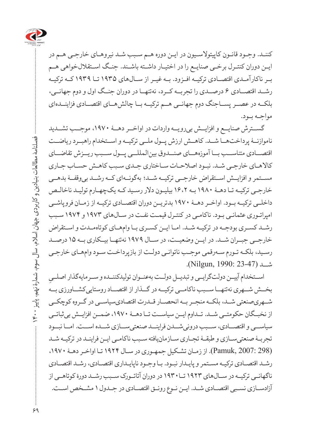

کننـد. وجـود قانـون کاپیتوالسـیون در ایـن دوره هـم سـبب شـد نیروهـای خارجـی هـم در ایـن دوران کنتـرل برخـی صنایـع را در اختیـار داشـته باشـند. جنـگ اسـتقاللخواهی هـم بــر ناکارآمــدی اقتصــادی ترکیــه افــزود. بــه غیــر از ســالهای ۱۹۳۵ تــا ۱۹۳۹ کــه ترکیــه رشــد اقتصــادی ۶ درصــدی را تجربــه کــرد، نهتنهــا در دوران جنــگ اول و دوم جهانــی، بلکــه در عصــر پســاجنگ دوم جهانــی هــم ترکیــه بــا چالشهــای اقتصــادی فزاینــدهای مواجـه بـود.

گســترش صنایــع و افزایــش بیرویــه واردات در اواخــر دهــۀ ،۱۹۷۰ موجــب تشــدید ناموازنــۀ پرداختهــا شــد. کاهــش ارزش پــول ملــی ترکیــه و اســتخدام راهبــرد ریاضــت اقتصــادی متناســب بــا آموزههــای صنــدوق بینالمللــی پــول ســبب ریــزش تقاضــای کاالهـای خارجـی شـد. نبـود اصالحـات سـاختاری جـدی سـبب کاهـش حسـاب جـاری مســتمر و افزایــش اســتقراض خارجــی ترکیــه شــد؛ بهگونــهای کــه رشــد بیوقفــۀ بدهــی خارجـی ترکیـه تـا دهـۀ ۱۹۸۰ بـه ۱۶،۲ بیلیـون دالر رسـید کـه یکچهـارم تولیـد ناخالـص داخلــی ترکیــه بــود. اواخــر دهــۀ ۱۹۷۰ بدتریــن دوران اقتصــادی ترکیــه از زمــان فروپاشــی امپراتـوری عثمانـی بـود. ناکامـی در کنتـرل قیمـت نفـت در سـالهای ۱۹۷۳ و ۱۹۷۴ سـبب رشـد کسـری بودجـه در ترکیـه شـد. امـا ایـن کسـری بـا وامهـای کوتاهمـدت و اسـتقراض خارجــی جبــران شــد. در ایــن وضعیــت، در ســال ۱۹۷۹ نهتنهــا بیــکاری بــه ۱۵ درصــد رسـید، بلکـه تـورم سـهرقمی موجـب ناتوانـی دولـت از بازپرداخـت سـود وامهـای خارجـی شــد (23-47 1990: ,Nilgun(.

**∶** اســتخدام آییــن دولتگرایــی و تبدیــل دولــت بهعنــوان تولیدکننــده و ســرمایهگذار اصلــی بخــش شــهری نهتنهــا ســبب ناکامــی ترکیــه در گــذار از اقتصــاد روستاییکشــاورزی بــه شــهریصنعتی شــد، بلکــه منجــر بــه انحصــار قــدرت اقتصادیسیاســی در گــروه کوچکــی از نخبــگان حکومتــی شــد. تــداوم ایــن سیاســت تــا دهــۀ ،۱۹۷۰ ضمــن افزایــش بیثباتــی سیاســی و اقتصــادی، ســبب درونیشــدن فراینــد صنعتیســازی شــده اســت. امــا نبــود تجربـۀ صنعتیسـازی و طبقـۀ تجـاری سـازمانیافته سـبب ناکامـی ایـن فراینـد در ترکیـه شـد (298 2007: ,Pamuk(. از زمـان تشـکیل جمهـوری در سـال ۱۹۲۴ تـا اواخـر دهـۀ ،1970 رشـد اقتصـادی ترکیـه مسـتمر و پایـدار نبـود. بـا وجـود ناپایـداری اقتصـادی، رشـد اقتصـادی ناگهانــی ترکیــه در ســالهای ۱۹۲۳ تــا۱۹۳۰ در دوران آتاتــورک ســبب رشــد دورۀ کوتاهــی از آزادسـازی نسـبی اقتصـادی شـد. ایـن نـوع رونـق اقتصـادی در جـدول 1 مشـخص اسـت.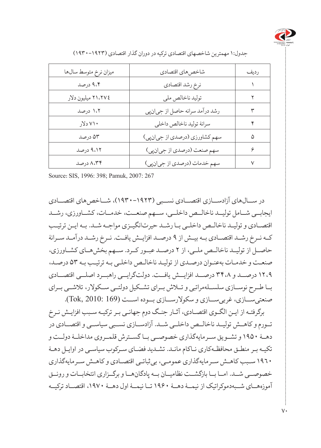

| ميزان نرخ متوسط سالها | شاخصهاي اقتصادي                | رديف |
|-----------------------|--------------------------------|------|
| ۹،۴ درصد              | نرخ رشد اقتصادي                |      |
| ٢١،٢٧٤ ميليون دلار    | توليد ناخالص ملي               | ۲    |
| ۱،۲ درصد              | رشد درآمد سرانه حاصل از جيانپي | ٣    |
| ۷۱۰ دلار              | سرانهٔ تولید ناخالص داخلی      | ۴    |
| ۵۳ درصد               | سهم کشاورزی (درصدی از جیانپی)  | ۵    |
| ۹،۱۲ درصد             | سهم صنعت (درصدي از جيانپي)     | ۶    |
| ۸،۳۴ درصد             | سهم خدمات (درصدي از جيان پي)   | ٧    |
|                       |                                |      |

جدول1: مهمترین شاخصهای اقتصادی ترکیه در دوران گذار اقتصادی )۱۹۳۰-۱۹۲۳(

Source: SIS, 1996: 398; Pamuk, 2007: 267

در ســالهای آزادســازی اقتصــادی نســبی )۱۹۳۰-۱۹۲۳(، شــاخصهای اقتصــادی ایجابــی شــامل تولیــد ناخالــص داخلــی، ســهم صنعــت، خدمــات، کشــاورزی، رشــد اقتصـادی و تولیـد ناخالـص داخلـی بـا رشـد حیرتانگیـزی مواجـه شـد. بـه ایـن ترتیـب کــه نــرخ رشــد اقتصــادی بــه بیــش از ۹ درصــد افزایــش یافــت. نــرخ رشــد درآمــد ســرانۀ حاصــل از تولیــد ناخالــص ملــی، از 2 درصــد عبــور کــرد. ســهم بخشهــای کشــاورزی، صنعـت و خدمـات بهعنـوان درصـدی از تولیـد ناخالـص داخلـی بـه ترتیـب بـه ۵۳ درصـد، ۱۲،۹ درصــد و ۳۴،۸ درصــد افزایــش یافــت. دولتگرایــی راهبــرد اصلــی اقتصــادی بــا طــرح نوســازی سلســلهمراتبی و تــاش بــرای تشــکیل دولتــی ســکوالر، تالشــی بــرای صنعتیســازی، غربیســازی و سکوالرســازی بــوده اســت (169 2010: ,Tok(.

برگرفتـه از ایـن الگـوی اقتصـادی، آثـار جنـگ دوم جهانـی بـر ترکیـه سـبب افزایـش نـرخ تــورم و کاهــش تولیــد ناخالــص داخلــی شــد. آزادســازی نســبی سیاســی و اقتصــادی در دهــۀ ۱۹۵۰ و تشــویق ســرمایهگذاری خصوصــی بــا گســترش قلمــروی مداخلــۀ دولــت و تکیـه بـر منطـق محافظـهکاری نـاکام مانـد. تشـدید فضـای سـرکوب سیاسـی در اوایـل دهـۀ 1960 سـبب کاهـش سـرمایهگذاری عمومـی، بیثباتـی اقتصـادی و کاهـش سـرمایهگذاری خصوصــی شــد. امــا بــا بازگشــت نظامیــان بــه پادگانهــا و برگــزاری انتخابــات و رونــق آموزههــای شــبهدموکراتیک از نیمــۀ دهــۀ ۱۹۶۰ تــا نیمــۀ اول دهــۀ ،۱۹۷۰ اقتصــاد ترکیــه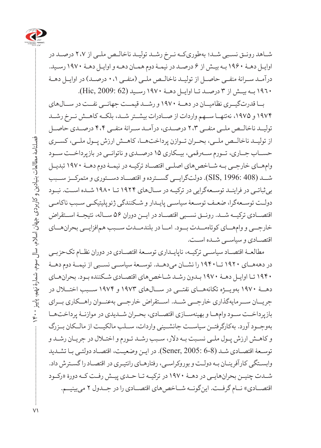

شـاهد رونـق نسـبی شـد؛ بهطوریکـه نـرخ رشـد تولیـد ناخالـص ملـی از ۲،۷ درصـد در اوایـل دهـۀ ۱۹۶۰ بـه بیـش از ۶ درصـد در نیمـۀ دوم همـان دهـه و اوایـل دهـۀ 1970 رسـید. درآمــد ســرانۀ منفــی حاصــل از تولیــد ناخالــص ملــی )منفــی ۰،۱ درصــد( در اوایــل دهــۀ 1960 بــه بیــش از ۳ درصــد تــا اوایــل دهــۀ 1970 رســید (62 2009: ,Hic(.

بــا قدرتگیــری نظامیــان در دهــۀ 1970 و رشــد قیمــت جهانــی نفــت در ســالهای ۱۹۷۴ و ۱۹۷۵، نهتنهـا ســهم واردات از صــادرات بیشــتر شــد، بلکــه کاهــش نــرخ رشــد تولیــد ناخالــص ملــی منفــی ۲،۳ درصــدی، درآمــد ســرانۀ منفــی ۴،۴ درصــدی حاصــل از تولیــد ناخالــص ملــی، بحــران تــوازن پرداختهــا، کاهــش ارزش پــول ملــی، کســری حســاب جــاری، تــورم ســهرقمی، بیــکاری ۱۵ درصــدی و ناتوانــی در بازپرداخــت ســود وامهــای خارجــی بــه شــاخصهای اصلــی اقتصــاد ترکیــه در نیمــۀ دوم دهــۀ 1970 تبدیــل شــد (408 1996: ,SIS(. دولتگرایــی گســترده و اقتصــاد دســتوری و متمرکــز ســبب بیثباتـی در فراینـد توسـعهگرایی در ترکیـه در سـالهای ۱۹۲۴ تـا ۱۹۸۰ شـده اسـت. نبـود دولـت توسـعهگرا، ضعـف توسـعۀ سیاسـی پایـدار و شـکنندگی ژئوپلیتیکـی سـبب ناکامـی اقتصــادی ترکیــه شــد. رونــق نســبی اقتصــاد در ایــن دوران ۵۶ ســاله، نتیجــۀ اســتقراض خارجــی و وامهــای کوتاهمــدت بــود. امــا در بلندمــدت ســبب همافزایــی بحرانهــای اقتصــادی و سیاســی شــده اســت.

مطالعـۀ اقتصـاد سیاسـی ترکیـه، ناپایـداری توسـعۀ اقتصـادی در دوران نظـام تکحزبـی در دهههــای ۱۹۲۰ تــا۱۹۴۰ را نشــان میدهــد. توســعۀ سیاســی نســبی از نیمــۀ دوم دهــۀ ۱۹۴۰ تـا اوایـل دهـۀ ۱۹۷۰ بـدون رشـد شـاخصهای اقتصـادی شـکننده بـود. بحرانهـای دهــۀ 1970 بهویــژه تکانههــای نفتــی در ســالهای ۱۹۷۳ و ۱۹۷۴ ســبب اختــال در جریــان ســرمایهگذاری خارجــی شــد. اســتقراض خارجــی بهعنــوان راهــکاری بــرای بازپرداخــت ســود وامهــا و بهینهســازی اقتصــادی، بحــران شــدیدی در موازنــۀ پرداختهــا بهوجــود آورد. بهکارگرفتــن سیاســت جانشــینی واردات، ســلب مالکیــت از مالــکان بــزرگ و کاهـش ارزش پـول ملـی نسـبت بـه دالر، سـبب رشـد تـورم و اختـال در جریـان رشـد و توسـعۀ اقتصـادی شـد (8-6 Sener, 2005: 6). در ایـن وضعیـت، اقتصـاد دولتـی بـا تشـدید وابسـتگی کارآفرینـان بـه دولـت و بوروکراسـی، رفتارهـای رانتیـری در اقتصـاد را گسـترش داد. شـدت چنیـن بحرانهایـی در دهـۀ 1970 در ترکیـه تـا حـدی پیـش رفـت کـه دورۀ »رکـود اقتصـــادی» نــام گرفــت. اینگونــه شـــاخص۵های اقتصـــادی را در جــدول ۲ می بینیـــم.

 فصلنامۀ مطالعات بنیادین و کاربردی جهان اسالم، سال سوم، شمارۀ نهم، پاییز 1400 فصلنامهٔ مطالعات بنیادین و کاربردی جهان اسلام، سال سوم، شمارهٔ نهم، ؚ<br>ڸڗ<br>ڸ  $\Uparrow$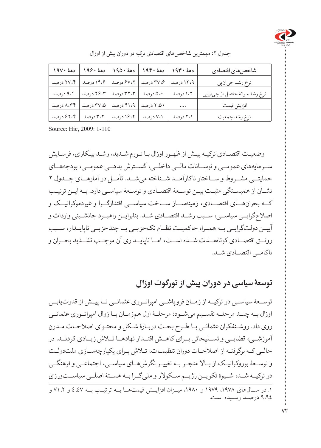

| دههٔ ۱۹۷۰ | دههٔ ۱۹۶۰ | دههٔ ۱۹۵۰ | دههٔ ۱۹۴۰ | دهة ١٩٣٠  | شاخص هاى اقتصادى              |
|-----------|-----------|-----------|-----------|-----------|-------------------------------|
| ۲۷،۴ درصد | ۱۴،۶ درصد | ۶۷،۲ درصد | ۳۷،۶ درصد | ۱۲،۹ درصد | نرخ رشد جيان پي               |
| ۹،۱ درصد  | ۲۶،۳ درصد | ۳۲،۳ درصد | ۵،۰ درصد  | ۱،۲ درصد  | نرخ رشد سرانهٔ حاصل از جيانپي |
| ۸،۳۴ درصد | ۲۷،۵ درصد | ۴۱،۹ درصد | ۲،۵۰ درصد | $\cdots$  | افزايش قيمت'                  |
| ۶۲،۴ درصد | ۳،۲ درصد  | ١۶،٢ درصد | ۷،۱ درصد  | ۲،۱ درصد  | نرخ رشد جمعيت                 |

جدول ۲: مهمترین شاخص های اقتصادی ترکیه در دوران پیش از اوزال

Source: Hic. 2009: 1-110

وضعیـت اقتصـادی ترکیـه پیـش از ظهـور اوزال بـا تـورم شـدید، رشـد بیـکاری، فرسـایش ســرمایههای عمومــی و نوســانات مالــی داخلــی، گســترش بدهــی عمومــی، بودجههــای حمایتــی مشــروط و ســاختار ناکارآمــد شــناخته میشــد. تأمــل در آمارهــای جــدول 2 نشــان از همبســتگی مثبــت بیــن توســعۀ اقتصــادی و توســعۀ سیاســی دارد. بــه ایــن ترتیــب کــه بحرانهــای اقتصــادی، زمینهســاز ســاخت سیاســی اقتدارگــرا و غیردموکراتیــک و اصالحگرایــی سیاســی، ســبب رشــد اقتصــادی شــد. بنابرایــن راهبــرد جانشــینی واردات و آییــن دولتگرایــی بــه همــراه حاکمیــت نظــام تکحزبــی یــا چندحزبــی ناپایــدار، ســبب رونــق اقتصــادی کوتاهمــدت شــده اســت، امــا ناپایــداری آن موجــب تشــدید بحــران و ناکامــی اقتصــادی شــد.

# **توسعۀ سیاسی در دوران پیش از تورگوت اوزال**

توســعۀ سیاســی در ترکیــه از زمــان فروپاشــی امپراتــوری عثمانــی تــا پیــش از قدرتیابــی اوزال بــه چنــد مرحلــه تقســیم میشــود: مرحلــۀ اول همزمــان بــا زوال امپراتــوری عثمانــی روی داد. روشـنفکران عثمانـی بـا طـرح بحـث دربـارۀ شـکل و محتـوای اصالحـات مـدرن آموزشــی، قضایــی و تســلیحاتی بــرای کاهــش اقتــدار نهادهــا تــاش زیــادی کردنــد. در حالـی کـه برگرفتـه از اصالحـات دوران تنظیمـات، تـاش بـرای یکپارچهسـازی ملتدولـت و توســعۀ بوروکراتیــک از بــاال منجــر بــه تغییــر نگرشهــای سیاســی، اجتماعــی و فرهنگــی در ترکیــه شــد، شــیوۀ تکویــن رژیــم ســکوالر و ملیگــرا بــه هســتۀ اصلــی سیاســتورزی .1 در ســالهای ،۱۹۷۸ ۱۹۷۹ و ،۱۹۸۰ میــزان افزایــش قیمتهــا بــه ترتیــب بــه 4،47 و ۷۱،2 و 9،94 درصـد رسـیده اسـت.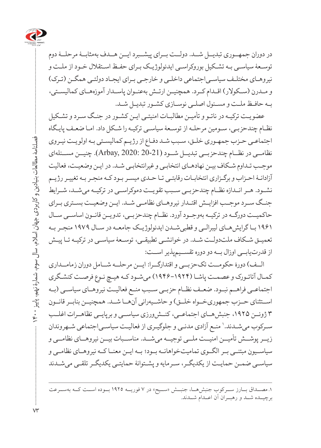

در دوران جمهــوری تبدیــل شــد. دولــت بــرای پیشــبرد ایــن هــدف بهمثابــۀ مرحلــۀ دوم توسـعۀ سیاسـی بـه تشـکیل بوروکراسـی ایدئولوژیـک بـرای حفـظ اسـتقالل خـود از ملـت و نیروهـای مختلـف سیاسـیاجتماعی داخلـی و خارجـی بـرای ایجـاد دولتـی همگـن )تـرک( و مــدرن )ســکوالر( اقــدام کــرد. همچنیــن ارتــش بهعنــوان پاســدار آموزههــای کمالیســتی، بـه حافـظ ملـت و مسـئول اصلـی نوسـازی کشـور تبدیـل شـد.

عضویـت ترکیـه در ناتـو و تأمیـن مطالبـات امنیتـی ایـن کشـور در جنـگ سـرد و تشـکیل نظـام چندحزبـی، سـومین مرحلـه از توسـعۀ سیاسـی ترکیـه را شـکل داد. امـا ضعـف پایـگاه اجتماعـی حـزب جمهـوری خلـق، سـبب شـد دفـاع از رژیـم کمالیسـتی بـه اولویـت نیـروی نظامــی در نظــام چندحزبــی تبدیــل شــود (20-21 .Arbay, 2020). چنیــن مســئلهای موجـب تـداوم شـکاف بیـن نهادهـای انتخابـی و غیرانتخابـی شـد. در ایـن وضعیـت، فعالیت آزادانـۀ احـزاب و برگـزاری انتخابـات رقابتـی تـا حـدی میسـر بـود کـه منجـر بـه تغییـر رژیـم نشــود. هــر انــدازه نظــام چندحزبــی ســبب تقویــت دموکراســی در ترکیــه میشــد، شــرایط جنــگ ســرد موجــب افزایــش اقتــدار نیروهــای نظامــی شــد. ایــن وضعیــت بســتری بــرای حاکمیــت دورگــه در ترکیــه بهوجــود آورد. نظــام چندحزبــی، تدویــن قانــون اساســی ســال ۱۹۶۱ بـا گرایشهـای لیبرالـی و قطبیشـدن ایدئولوژیـک جامعـه در سـال ۱۹۷۹ منجـر بـه تعمیـق شـکاف ملتدولـت شـد. در خوانشـی تطبیقـی، توسـعۀ سیاسـی در ترکیـه تـا پیـش از قدرتیابــی اوزال بــه دو دوره تقســیمپذیر اســت:

الــف( دورۀ حکومــت تکحزبــی و اقتدارگــرا: ایــن مرحلــه شــامل دوران زمامــداری کمـال آتاتـورک و عصمـت پاشـا )۱۹۴۶-۱۹۲۴( میشـود کـه هیـچ نـوع فرصـت کنشـگری اجتماعــی فراهــم نبــود. ضعــف نظــام حزبــی ســبب منــع فعالیــت نیروهــای سیاســی )بــه اســتثنای حــزب جمهوریخــواه خلــق) و حاشــیهرانی آنهــا شــد. همچنیــن بنابــر قانــون 3 ژوئــن ،۱۹۲۵ جنبشهــای اجتماعــی، کنــشورزی سیاســی و برپایــی تظاهــرات اغلــب سـرکوب میشـدند.' منـع آزادی مدنـی و جلوگیـری از فعالیـت سیاسـی|جتماعی شـهروندان زیــر پوشــش تأمیــن امنیــت ملــی توجیــه میشــد. مناســبات بیــن نیروهــای نظامــی و سیاســیون مبتنــی بــر الگــوی تمامیتخواهانــه بــود؛ بــه ایــن معنــا کــه نیروهــای نظامــی و سیاسـی ضمـن حمایـت از یکدیگـر، سـرمایه و پشـتوانۀ حمایتـی یکدیگـر تلقـی میشـدند

.1 مصــداق بــارز ســرکوب جنبشهــا، جنبــش »ســیح« در ۷ فوریــه ۱۹۲۵ بــوده اســت کــه بهســرعت برچیــده شــد و رهبــران آن اعــدام شــدند.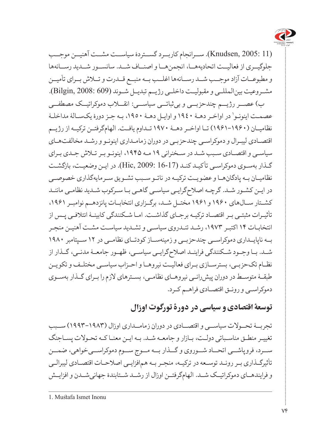

(11 2005: ,Knudsen(. ســرانجام کاربــرد گســتردۀ سیاســت مشــت آهنیــن موجــب جلوگیــری از فعالیــت اتحادیههــا، انجمنهــا و اصنــاف شــد. سانســور شــدید رســانهها و مطبوعــات آزاد موجــب شــد رســانهها اغلــب بــه منبــع قــدرت و تــاش بــرای تأمیــن مشــروعیت بینالمللــی و مقبولیــت داخلــی رژیــم تبدیــل شــوند (609 2008: ,Bilgin(. ب) عصــر رژیـــم چندحزبـــی و بی ثباتـــی سیاســـی: انقـــلاب دموکراتیــک مصطفـــی عصمـت اينونـو' در اواخـر دهـۀ ١٩٤٠ و اوايـل دهـۀ ١٩٥٠، بـه جـز دورۀ يکسـالۀ مداخلـۀ نظامیــان )۱۹۶۱-۱۹۶۰( تــا اواخــر دهــۀ 1970 تــداوم یافــت. الهامگرفتــن ترکیــه از رژیــم اقتصـادی لیبـرال و دموکراسـی چندحزبـی در دوران زمامـداری اینونـو و رشـد مخالفتهـای سیاسـی و اقتصـادی سـبب شـد در سـخنرانی ۱۹ مـه ،۱۹۴۵ اینونـو بـر تـاش جـدی بـرای گـذار بهسـوی دموکراسـی تأکیـد کنـد (16-17 2009: ,Hic(. در ایـن وضعیـت، بازگشـت نظامیـان بـه پادگانهـا و عضویـت ترکیـه در ناتـو سـبب تشـویق سـرمایهگذاری خصوصـی در ایـن کشـور شـد. گرچـه اصالحگرایـی سیاسـی گاهـی بـا سـرکوب شـدید نظامـی ماننـد کشــتار ســالهای ۱۹۶۰ و ۱۹۶۱ مختــل شــد، برگــزاری انتخابــات پانزدهــم نوامبــر ،۱۹۶۱ تأثیـرات مثبتـی بـر اقتصـاد ترکیـه برجـای گذاشـت. امـا شـکنندگی کابینـۀ ائتالفـی پـس از انتخابـات ۱۴ اکتبـر ،۱۹۷۳ رشـد تنـدروی سیاسـی و تشـدید سیاسـت مشـت آهنیـن منجـر بــه ناپایــداری دموکراســی چندحزبــی و زمینهســاز کودتــای نظامــی در ۱۲ ســپتامبر ۱۹۸۰ شــد. بــا وجــود شــکنندگی فراینــد اصالحگرایــی سیاســی، ظهــور جامعــۀ مدنــی، گــذار از نظـام تکحزبـی، بسترسـازی بـرای فعالیـت نیروهـا و احـزاب سیاسـی مختلـف و تکویـن طبقـۀ متوسـط در دوران پیشرانـی نیروهـای نظامـی، بسـترهای الزم را بـرای گـذار بهسـوی دموکراسـی و رونـق اقتصـادی فراهـم کـرد.

**توسعۀ اقتصادی و سیاسی در دورۀ تورگوت اوزال** 

تجربــۀ تحــوالت سیاســی و اقتصــادی در دوران زمامــداری اوزال )۱۹۹۳-۱۹۸۳( ســبب تغییـر منطـق مناسـباتی دولـت، بـازار و جامعـه شـد. بـه ایـن معنـا کـه تحـوالت پسـاجنگ ســرد، فروپاشــی اتحــاد شــوروی و گــذار بــه مــوج ســوم دموکراســیخواهی، ضمــن تأثیرگـذاری بـر رونـد توسـعه در ترکیـه، منجـر بـه همافزایـی اصالحـات اقتصـادی لیبرالـی و فرایندهــای دموکراتیــک شــد. الهامگرفتــن اوزال از رشــد شــتابندۀ جهانیشــدن و افزایــش

<sup>1.</sup> Mustafa Ismet Inonu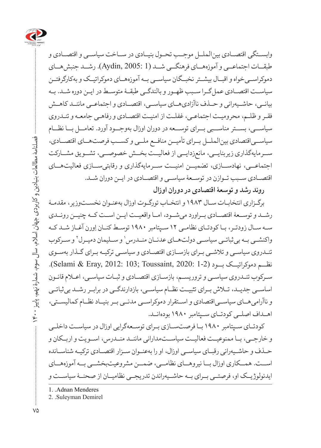

وابســتگی اقتصــادی بینالملــل موجــب تحــول بنیــادی در ســاخت سیاســی و اقتصــادی و طبقــات اجتماعــی و آموزههــای فرهنگــی شــد (1 2005: ,Aydin(. رشــد جنبشهــای دموکراســیخواه و اقبــال بیشــتر نخبــگان سیاســی بــه آموزههــای دموکراتیــک و بهکارگرفتــن سیاسـت اقتصـادی عملگـرا سـبب ظهـور و بالندگـی طبقـۀ متوسـط در ایـن دوره شـد. بـه بیانــی، حاشــیهرانی و حــذف ناآزادیهــای سیاســی، اقتصــادی و اجتماعــی ماننــد کاهــش فقـر و ظلـم، محرومیـت اجتماعـی، غفلـت از امنیـت اقتصـادی و رفاهـی جامعـه و تنـدروی سیاســی، بســتر مناســبی بــرای توســعه در دوران اوزال بهوجــود آورد. تعامــل بــا نظــام سیاســیاقتصادی بینالملــل بــرای تأمیــن منافــع ملــی و کســب فرصتهــای اقتصــادی، ســرمایهگذاری زیربنایــی، مانعزدایــی از فعالیــت بخــش خصوصــی، تشــویق مشــارکت اجتماعــی، نهادســازی، تضمیــن امنیــت ســرمایهگذاری و رقابتیســازی فعالیتهــای اقتصــادی ســبب تــوازن در توســعۀ سیاســی و اقتصــادی در ایــن دوران شــد.

**روند رشد و توسعۀ اقتصادی در دوران اوزال**

برگـزاری انتخابـات سـال ۱۹۸۳ و انتخـاب تورگـوت اوزال بهعنـوان نخسـتوزیر، مقدمـۀ رشــد و توســعۀ اقتصــادی بــراورد میشــود، امــا واقعیــت ایــن اســت کــه چنیــن رونــدی سـه سـال زودتـر، بـا کودتـای نظامـی ۱۲ سـپتامبر ۱۹۸۰ توسـط کنـان اِورن آغـاز شـد کـه واکنشــی بــه بی ثباتــی سیاســی دولت،حـای عدنــان منــدرس' و ســلیمان دمیــرل ` و ســرکوب تنـدروی سیاسـی و تالشـی بـرای بازسـازی اقتصـادی و سیاسـی ترکیـه بـرای گـذار بهسـوی نظــم دموکراتیــک بــود (2-1 2020: 1-2). (Selami & Eray, 2012: 103; Toussaint, 2020: سـرکوب تنـدروی سیاسـی و تروریسـم، بازسـازی اقتصـادی و ثبـات سیاسـی، اعـام قانـون اساســی جدیــد، تــاش بــرای تثبیــت نظــام سیاســی، بازدارندگــی در برابــر رشــد بیثباتــی و ناآرامیهــای سیاســیاقتصادی و اســتقرار دموکراســی مدنــی بــر بنیــاد نظــام کمالیســتی، اهــداف اصلــی کودتــای ســپتامبر ۱۹۸۰ بودهانــد.

کودتــای ســپتامبر ۱۹۸۰ بــا فرصتســازی بــرای توســعهگرایی اوزال در سیاســت داخلــی و خارجــی، بــا ممنوعیــت فعالیــت سیاســتمدارانی ماننــد منــدرس، اســویت و اربــکان و حـذف و حاشـیهرانی رقبـای سیاسـی اوزال، او را بهعنـوان سـزار اقتصـادی ترکیـه شناسـانده اســت. همــکاری اوزال بــا نیروهــای نظامــی، ضمــن مشروعیتبخشــی بــه آموزههــای ایدئولوژیــک او، فرصتــی بــرای بــه حاشــیهراندن تدریجــی نظامیــان از صحنــۀ سیاســت و

1. . Adnan Menderes

2. Suleyman Demirel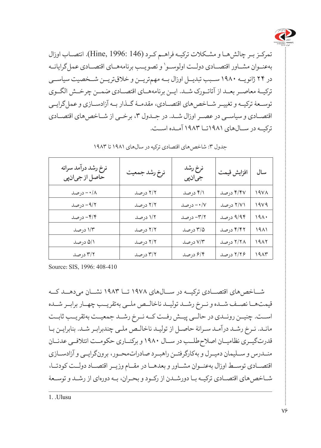

تمرکـز بـر چالشهـا و مشـکالت ترکیـه فراهـم کـرد (146 1996: ,Hine(. انتصـاب اوزال بهعنــوان مشــاور اقتصــادي دولــت اولوســو' و تصويــب برنامههــاي اقتصــادي عمل2رايانــه در ۲۴ ژانویــه ۱۹۸۰ ســبب تبدیــل اوزال بــه مهمتریــن و خالقتریــن شــخصیت سیاســی ترکیــۀ معاصــر بعــد از آتاتــورک شــد. ایــن برنامههــای اقتصــادی ضمــن چرخــش الگــوی توســعۀ ترکیــه و تغییــر شــاخصهای اقتصــادی، مقدمــۀ گــذار بــه آزادســازی و عملگرایــی اقتصــادی و سیاســی در عصــر اوزال شــد. در جــدول ،3 برخــی از شــاخصهای اقتصــادی ترکیــه در ســالهای ۱۹۸۱تــا ۱۹۸۳ آمــده اســت.

| نرخ رشد درآمد سرانه<br>حاصل از جيانڥي | نرخ رشد جمعيت | نرخ رشد<br>جيانبي | افزايش قيمت | سال              |
|---------------------------------------|---------------|-------------------|-------------|------------------|
| ۰/۸ - درصد                            | ۲/۲ درصد      | ۴/۱ درصد          | ۴/۴۷ درصد   | 19V <sub>A</sub> |
| ۹/۲ - درصد                            | ٢/٢ درصد      | ۰/۷ - درصد        | ۲/۷۱ درصد   | 19V9             |
| ۴/۴- درصد                             | ١/٢ درصد      | ٣/٢- درصد         | ۹/۹۴ درصد   | 191.             |
| ۱/۳ درصد                              | ٢/٢ درصد      | ۳/۵ درصد          | ۴/۴۲ درصد   | 1971             |
| ۵/۱ درصد                              | ٢/٢ درصد      | ۷/۳ درصد          | ۲/۲۸ درصد   | 1982             |
| ۳/۲ درصد                              | ۳/۲ درصد      | ۶/۴ درصد          | ۲/۲۶ درصد   | ۱۹۸۳             |

جدول ۳: شاخص های اقتصادی ترکیه در سالهای ۱۹۸۱ تا ۱۹۸۳

Source: SIS, 1996: 408-410

شــاخصهای اقتصــادی ترکیــه در ســالهای ۱۹۷۸ تــا ۱۹۸۳ نشــان میدهــد کــه قیمتهــا نصــف شــده و نــرخ رشــد تولیــد ناخالــص ملــی بهتقریــب چهــار برابــر شــده اســت. چنیــن رونــدی در حالــی پیــش رفــت کــه نــرخ رشــد جمعیــت بهتقریــب ثابــت مانـد. نـرخ رشـد درآمـد سـرانۀ حاصـل از تولیـد ناخالـص ملـی چندبرابـر شـد. بنابرایـن بـا قدرتگیــری نظامیــان اصالحطلــب در ســال ۱۹۸۰ و برکنــاری حکومــت ائتالفــی عدنــان منــدرس و ســلیمان دمیــرل و بهکارگرفتــن راهبــرد صادراتمحــور، برونگرایــی و آزادســازی اقتصــادی توســط اوزال بهعنــوان مشــاور و بعدهــا در مقــام وزیــر اقتصــاد دولــت کودتــا، شـاخصهای اقتصـادی ترکیـه بـا دورشـدن از رکـود و بحـران، بـه دورهای از رشـد و توسـعۀ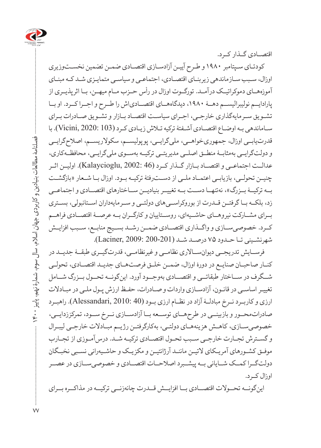

اقتصــادی گــذار کــرد.

کودتـای سـپتامبر ۱۹۸۰ و طـرح آییـن آزادسـازی اقتصـادی ضمـن تضمین نخسـتوزیری اوزال، سـبب سـازماندهی زیربنـای اقتصـادی، اجتماعـی و سیاسـی متمایـزی شـد کـه مبنـای آموزههــای دموکراتیــک درآمــد. تورگــوت اوزال در رأس حــزب مــام میهــن، بــا اثرپذیــری از پارادایــم نولیبرالیســم دهــۀ ،۱۹۸۰ دیدگاههــای اقتصــادیاش را طــرح و اجــرا کــرد. او بــا تشـویق سـرمایهگذاری خارجـی، اجـرای سیاسـت اقتصـاد بـازار و تشـویق صـادرات بـرای سـاماندهی بـه اوضـاع اقتصـادی آشـفتۀ ترکیه تـاش زیـادی کـرد (103 2020: ,Vicini(. با قدرتیابــی اوزال، جمهوریخواهــی، ملیگرایــی، پوپولیســم، سکوالریســم، اصالحگرایــی و دولتگرایــی بهمثابــۀ منطــق اصلــی مدیریتــی ترکیــه بهســوی ملیگرایــی، محافظــهکاری، عدالــت اجتماعــی و اقتصــاد بــازار گــذار کــرد (46 2002: ,Kalaycioglu(. اولیــن اثــر چنیــن تحولــی، بازیابــی اعتمــاد ملــی از دســترفتۀ ترکیــه بــود. اوزال بــا شــعار »بازگشــت بــه ترکیــۀ بــزرگ»، نهتنهــا دســت بــه تغییــر بنیادیـــز ســـاختارهای اقتصـــادی و اجتماعــی زد، بلکــه بــا گرفتــن قــدرت از بوروکراســیهای دولتــی و ســرمایهداران اســتانبولی، بســتری بــرای مشــارکت نیروهــای حاشــیهای، روســتاییان و کارگــران بــه عرصــۀ اقتصــادی فراهــم کــرد. خصوصیســازی و واگــذاری اقتصــادی ضمــن رشــد بســیج منابــع، ســبب افزایــش شهرنشــینی تــا حــدود ۷۵ درصــد شــد (200-201 2009: ,Laciner(.

فرســایش تدریجــی دیوانســاالری نظامــی و غیرنظامــی، قدرتگیــری طبقــۀ جدیــد در کنـار صاحبـان صنایـع در دورۀ اوزال، ضمـن خلـق فرصتهـای جدیـد اقتصـادی، تحولـی شــگرف در ســاختار طبقاتــی و اقتصــادی بهوجــود آورد. اینگونــه تحــول بــزرگ شــامل تغییـر اساسـی در قانـون، آزادسـازی واردات و صـادرات، حفـظ ارزش پـول ملـی در مبـادالت ارزی و کاربــرد نــرخ مبادلــۀ آزاد در نظــام ارزی بــود (40 2010: ,Alessandari(. راهبــرد صادراتمحــور و بازبینــی در طرحهــای توســعه بــا آزادســازی نــرخ ســود، تمرکززدایــی، خصوصیسـازی، کاهـش هزینههـای دولتـی، بهکارگرفتـن رژیـم مبـادالت خارجـی لیبـرال و گســترش تجــارت خارجــی ســبب تحــول اقتصــادی ترکیــه شــد. درسآمــوزی از تجــارب موفـق کشـورهای آمریـکای التیـن ماننـد آرژانتیـن و مکزیـک و حاشـیهرانی نسـبی نخبـگان دولتگــرا کمــک شــایانی بــه پیشــبرد اصالحــات اقتصــادی و خصوصیســازی در عصــر اوزال کـرد.

اینگونــه تحــوالت اقتصــادی بــا افزایــش قــدرت چانهزنــی ترکیــه در مذاکــره بــرای

فصلنامۀ مطالعات بنیادین و کاربردی جهان اسالم، سال سوم، شمارۀ نهم، پاییز 1400

 $\Upsilon$ 

فصلنامه مطالعات بنیادین و کاربردی جهان اسلام، سال سوم، شمارهٔ نهم، پاییز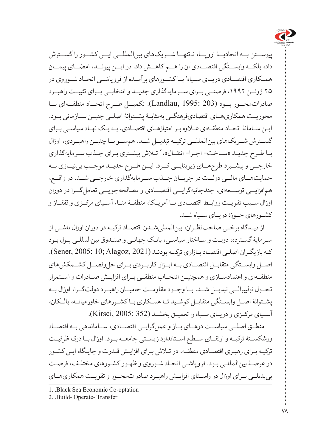

پیوســتن بــه اتحادیــۀ اروپــا، نهتنهــا شــریکهای بینالمللــی ایــن کشــور را گســترش داد، بلکــه وابســتگی اقتصــادی آن را هــم کاهــش داد. در ایــن پیونــد، امضــای پیمــان همــکاری اقتصــادی دريــای ســياه' بــا کشــورهای برآمــده از فروپاشــی اتحــاد شــوروی در ۲۵ ژوئــن ،۱۹۹۲ فرصتــی بــرای ســرمایهگذاری جدیــد و انتخابــی بــرای تثبیــت راهبــرد صادراتمحــور بــود (203 1995: ,Landlau(. تکمیــل طــرح اتحــاد منطقــهای بــا محوریــت همکاریهــای اقتصادیفرهنگــی بهمثابــۀ پشــتوانۀ اصلــی چنیــن ســازمانی بــود. ایـن سـامانۀ اتحـاد منطقـهای عـاوه بـر امتیازهـای اقتصـادی، بـه یـک نهـاد سیاسـی بـرای گســترش شــریکهای بینالمللــی ترکیــه تبدیــل شــد. همســو بــا چنیــن راهبــردی، اوزال بـا طـرح جدیـد «سـاخت- اجـرا- انتقـال»، ` تـلاش بیشـتری بـرای جـذب سـرمایهگذاری خارجــی و پیشــبرد طرحهــای زیربنایــی کــرد. ایــن طــرح جدیــد موجــب بینیــازی بــه حمایتهــای مالــی دولــت در جریــان جــذب ســرمایهگذاری خارجــی شــد. در واقــع، همافزایــی توســعهای، چندجانبهگرایــی اقتصــادی و مصالحهجویــی تعاملگــرا در دوران اوزال ســبب تقویــت روابــط اقتصــادی بــا آمریــکا، منطقــۀ منــا، آســیای مرکــزی و قفقــاز و کشــورهای حــوزۀ دریــای ســیاه شــد.

از دیـدگاه برخـی صاحبنظـران، بینالمللیشـدن اقتصـاد ترکیـه در دوران اوزال ناشـی از سـرمایۀ گسـترده، دولـت و سـاختار سیاسـی، بانـک جهانـی و صنـدوق بینالمللـی پـول بـود کـه بازیگـران اصلـی اقتصـاد بـازاری ترکیـه بودنـد (2021 ,Alagoz; 10 2005: ,Sener(. اصــل وابســتگی متقابــل اقتصــادی بــه ابــزار کاربــردی بــرای حلوفصــل کشــمکشهای منطقــهای و اعتمادســازی و همچنیــن انتخــاب منطقــی بــرای افزایــش صــادرات و اســتمرار تحــول نولیبرالــی تبدیــل شــد. بــا وجــود مقاومــت حامیــان راهبــرد دولتگــرا، اوزال بــه پشـتوانۀ اصـل وابسـتگی متقابـل کوشـید تـا همـکاری بـا کشـورهای خاورمیانـه، بالـکان، آســیای مرکــزی و دریــای ســیاه را تعمیــق بخشــد (352 2005: ,Kirsci(.

منطــق اصلــی سیاســت درهــای بــاز و عملگرایــی اقتصــادی، ســاماندهی بــه اقتصــاد ورشکســتۀ ترکیــه و ارتقــای ســطح اســتاندارد زیســتی جامعــه بــود. اوزال بــا درک ظرفیــت ترکیـه بـرای رهبـری اقتصـادی منطقـه، در تـاش بـرای افزایـش قـدرت و جایـگاه ایـن کشـور در عرصـۀ بینالمللـی بـود. فروپاشـی اتحـاد شـوروی و ظهـور کشـورهای مختلـف، فرصـت بیبدیلــی بــرای اوزال در راســتای افزایــش راهبــرد صادراتمحــور و تقویــت همکاریهــای

<sup>1.</sup> Black Sea Economic Co-optation

<sup>2. .</sup>Build- Operate- Transfer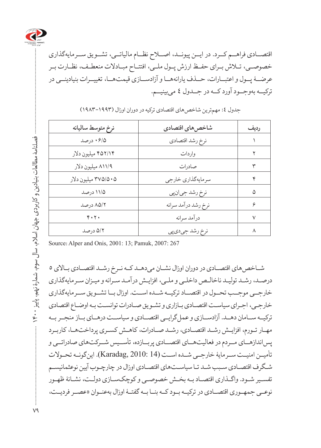

اقتصــادی فراهــم کــرد. در ایــن پیونــد، اصــاح نظــام مالیاتــی، تشــویق ســرمایهگذاری خصوصــی، تــاش بــرای حفــظ ارزش پــول ملــی، افتتــاح مبــادالت منعطــف، نظــارت بــر عرضــۀ پــول و اعتبــارات، حــذف یارانههــا و آزادســازی قیمتهــا، تغییــرات بنیادینــی در ترکیــه بهوجــود آورد کــه در جــدول 4 میبینیــم.

| نرخ متوسط ساليانه   | شاخصهاي اقتصادي     | رديف   |
|---------------------|---------------------|--------|
| ۶/۵ ۰ درصد          | نرخ رشد اقتصادي     |        |
| ۴۵۲/۱۴ میلیون دلار  | واردات              |        |
| ۸۱۱/۹ میلیون دلار   | صادرات              | ٣      |
| ۲۷۵/۵۰۵ میلیون دلار | سرمايەگذارى خارجى   | ۴      |
| ۱۱/۵ درصد           | نرِخ رشد جيان پي    | ۵      |
| ۸۵/۲ درصد           | نرخ رشد درآمد سرانه | ۶      |
| $Y \cdot Y \cdot$   | درآمد سرانه         | $\vee$ |
| ۵/۲ درصد            | نرخ رشد جيدي پي     | ٨      |

جدول ٤: مهمترین شاخصهای اقتصادی ترکیه در دوران اوزال (۱۹۹۳-۱۹۸۳)

Source: Alper and Onis, 2001: 13; Pamuk, 2007: 267

شـاخص های اقتصـادی در دوران اوزال نشـان می دهـد کـه نـرخ رشـد اقتصـادی بـالای ٥ درصـد، رشـد تولیـد ناخالـص داخلـی و ملـی، افزایـش درآمـد سـرانه و میـزان سـرمایهگذاری خارجــی موجــب تحــول در اقتصــاد ترکیــه شــده اســت. اوزال بــا تشــویق ســرمایهگذاری خارجـی، اجـرای سیاسـت اقتصـادی بـازاری و تشـویق صـادرات توانسـت بـه اوضـاع اقتصادی ترکیــه ســامان دهــد. آزادســازی و عملگرایــی اقتصــادی و سیاســت درهــای بــاز منجــر بــه مهـار تـورم، افزایـش رشـد اقتصـادی، رشـد صـادرات، کاهـش کسـری پرداختهـا، کاربـرد پساندازهــای مــردم در فعالیتهــای اقتصــادی پربــازده، تأســیس شــرکتهای صادراتــی و تأمیــن امنیــت ســرمایۀ خارجــی شــده اســت (14 2010: ,Karadag(. اینگونــه تحــوالت شـگرف اقتصـادی سـبب شـد تـا سیاسـتهای اقتصـادی اوزال در چارچـوب آیین نوعثمانیسـم تفسـیر شـود. واگـذاری اقتصـاد بـه بخـش خصوصـی و کوچکسـازی دولـت، نشـانۀ ظهـور نوعــی جمهــوری اقتصــادی در ترکیــه بــود کــه بنــا بــه گفتــۀ اوزال بهعنــوان »عصــر فردیــت،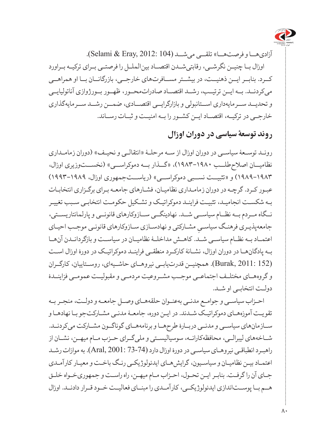

آزادیهــا و فرصتهــا« تلقــی میشــد (104 2012: ,Eray & Selami(. اوزال بــا چنیــن نگرشــی، رقابتیشــدن اقتصــاد بینالملــل را فرصتــی بــرای ترکیــه بــراورد کــرد. بنابــر ایــن ذهنیــت، در بیشــتر مســافرتهای خارجــی، بازرگانــان بــا او همراهــی میکردنــد. بــه ایــن ترتیــب، رشــد اقتصــاد صادراتمحــور، ظهــور بــورژوازی آناتولیایــی و تحدیــد ســرمایهداری اســتانبولی و بازارگرایــی اقتصــادی، ضمــن رشــد ســرمایهگذاری خارجــی در ترکیــه، اقتصــاد ایــن کشــور را بــه امنیــت و ثبــات رســاند.

**روند توسعۀ سیاسی در دوران اوزال**

رونـد توسـعۀ سیاسـی در دوران اوزال از سـه مرحلـۀ »انتقالـی و نحیـف« )دوران زمامـداری نظامیــان اصلاحطلــب ۱۹۸۰-۱۹۸۳)، «گــذار بــه دموکراســبی» (نخســتوزیری اوزال، ۱۹۸۹-۱۹۸۳( و »تثبیــت نســبی دموکراســی« )ریاســتجمهوری اوزال، ۱۹۹۳-۱۹۸۹( عبـور کـرد. گرچـه در دوران زمامـداری نظامیـان، فشـارهای جامعـه بـرای برگـزاری انتخابـات بـه شکسـت انجامیـد، تثبیـت فراینـد دموکراتیـک و تشـکیل حکومـت انتخابـی سـبب تغییـر نــگاه مــردم بــه نظــام سیاســی شــد. نهادینگــی ســازوکارهای قانونــی و پارلمانتاریســتی، جامعهپذیـری فرهنـگ سیاســيِ مشــارکتـی و نهادســازی ســازوکارهای قانونــی موجــب احیــای<br>-اعتمــاد بــه نظــام سیاســی شــد. کاهــش مداخلــۀ نظامیــان در سیاســت و بازگردانــدن آنهــا بـه پادگانهـا در دوران اوزال، نشـانۀ کارکـرد منطقـی فراینـد دموکراتیـک در دورۀ اوزال اسـت (152 2011: ,Burak(. همچنیــن قدرتیابــی نیروهــای حاشــیهای، روســتاییان، کارگــران و گروههــای مختلــف اجتماعــی موجــب مشــروعیت مردمــی و مقبولیــت عمومــی فزاینــدۀ دولـت انتخابـی او شـد.

احـزاب سیاسـی و جوامـع مدنـی بهعنـوان حلقههـای وصـل جامعـه و دولـت، منجـر بـه تقویـت آموزههـای دموکراتیـک شـدند. در ایـن دوره، جامعـۀ مدنـی مشـارکتجو بـا نهادهـا و ســازمانهای سیاســی و مدنــی دربــارۀ طرحهــا و برنامههــای گوناگــون مشــارکت میکردنــد. شــاخههای لیبرالــی، محافظهکارانــه، سوسیالیســتی و ملیگــرای حــزب مــام میهــن، نشــان از راهبـرد انطباقـی نیروهـای سیاسـی در دورۀ اوزال دارد (73-74 2001: ,Aral(. به موازات رشـد اعتمـاد بیـن نظامیـان و سیاسـیون، گرایشهـای ایدئولوژیکـی رنـگ باخـت و معیـار کارآمـدی جـای آن را گرفـت. بنابـر ایـن تحـول، احـزاب مـام میهـن، راه راسـت و جمهوریخـواه خلـق هــم بــا پوســتاندازی ایدئولوژیکــی، کارآمــدی را مبنــای فعالیــت خــود قــرار دادنــد. اوزال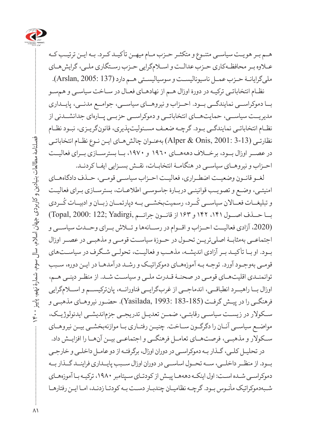

هـم بـر هویـت سیاسـی متنـوع و متکثـر حـزب مـام میهـن تأکیـد کـرد. بـه ایـن ترتیـب کـه عـاوه بـر محافظـهکاری حـزب عدالـت و اسـامگرایی حـزب رسـتگاری ملـی، گرایشهـای ملیگرایانـۀ حـزب عمـل ناسیونالیسـت و سوسیالیسـتی هـم دارد (137 2005: ,Arslan(.

نظـام انتخاباتـی ترکیـه در دورۀ اوزال هـم از نهادهـای فعـال در سـاخت سیاسـی و همسـو بــا دموکراســی نمایندگــی بــود. احــزاب و نیروهــای سیاســی، جوامــع مدنــی، پایــداری مدیریــت سیاســی، حمایتهــای انتخاباتــی و دموکراســی حزبــی پــارهای جدانشــدنی از نظـام انتخاباتـی نمایندگـی بـود. گرچـه ضعـف مسـئولیتپذیری، قانونگریـزی، نبـود نظـام نظارتـی (3-13 2001: ,Onis & Alper (بهعنـوان چالشهـای ایـن نـوع نظـام انتخاباتـی در عصــر اوزال بــود، برخــاف دهههــای 1960 و ،1970 بــا بسترســازی بــرای فعالیــت احـزاب و نیروهـای سیاسـی در هنگامـۀ انتخابـات، نقـش بسـزایی ایفـا کردنـد.

لغــو قانــون وضعیــت اضطــراری، فعالیــت احــزاب سیاســی قومــی، حــذف دادگاههــای امنیتـی، وضـع و تصویـب قوانینـی دربـارۀ جاسوسـی اطالعـات، بسترسـازی بـرای فعالیـت ؚ<br>ۣ و تبلیغــات فعــالان سیاســی کَــرد، رسمیتبخشــی بــه دپارتمــان زبــان و ادبیــات کَــردی ُبــا حــذف اصــول ،۱۴۱ ۱۴۲ و ۱۶۳ از قانــون جرائــم ,Yadirgi; 122 2000: ,Topal( (،2020 آزادی فعالیــت احــزاب و اقــوام در رســانهها و تــاش بــرای وحــدت سیاســی و اجتماعــی بهمثابــۀ اصلیتریــن تحــول در حــوزۀ سیاســت قومــی و مذهبــی در عصــر اوزال بـود. او بـا تأکیـد بـر آزادی اندیشـه، مذهـب و فعالیـت، تحولـی شـگرف در سیاسـتهای قومـی بهوجـود آورد. توجـه بـه آموزههـای دموکراتیـک و رشـد درآمدهـا در ایـن دوره، سـبب توانمنـدی اقلیتهـای قومـی در صحنـۀ قـدرت ملـی و سیاسـت شـد. از منظـر دینـی هـم، اوزال بــا راهبــرد انطباقــی، اندماجــی از غربگرایــی فناورانــه، پانترکیســم و اســامگرایی فرهنگـی را در پیـش گرفـت (183-185 1993: ,Yasilada(. حضـور نیروهـای مذهبـی و ســکوالر در زیســت سیاســی رقابتــی، ضمــن تعدیــل تدریجــی جزماندیشــی ایدئولوژیــک، مواضــع سیاســی آنــان را دگرگــون ســاخت. چنیــن رفتــاری بــا موازنهبخشــی بیــن نیروهــای ســکوالر و مذهبــی، فرصتهــای تعامــل فرهنگــی و اجتماعــی بیــن آنهــا را افزایــش داد. در تحلیـل کلـی، گـذار بـه دموکراسـی در دوران اوزال، برگرفتـه از دو عامـل داخلـی و خارجـی بــود. از منظــر داخلــی، ســه تحــول اساســی در دوران اوزال ســبب پایــداری فراینــد گــذار بــه

دموکراسـی شـده اسـت: اول اینکـه دهههـا پیـش از کودتـای سـپتامبر ،۱۹۸۰ ترکیـه بـا آموزههـای شـبهدموکراتیک مأنـوس بـود. گرچـه نظامیـان چندبـار دسـت بـه کودتـا زدنـد، امـا ایـن رفتارهـا

 فصلنامۀ مطالعات بنیادین و کاربردی جهان اسالم، سال سوم، شمارۀ نهم، پاییز 1400 فصلنامة مطالعات بنيادين و كاربردى جهان اسلام، سال سوم، شمارة نهم، پاييز  $\Uparrow$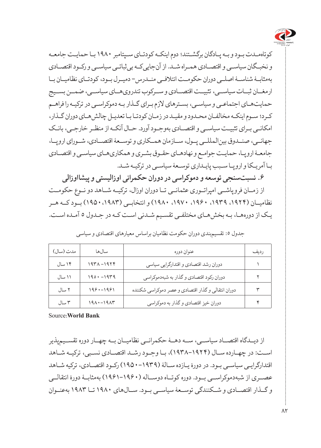

کوتاهمـدت بـود و بـه پـادگان برگشـتند؛ دوم اینکـه کودتـای سـپتامبر ۱۹۸۰ بـا حمایـت جامعـه و نخبـگان سیاسـی و اقتصـادی همـراه شـد. از آنجاییکـه بیثباتـی سیاسـی و رکـود اقتصـادی بهمثابــۀ شناســۀ اصلــی دوران حکومــت ائتالفــی منــدرس- دمیــرل بــود، کودتــای نظامیــان بــا ارمغــان ثبــات سیاســی، تثبیــت اقتصــادی و ســرکوب تندرویهــای سیاســی، ضمــن بســیج حمایتهـای اجتماعـی و سیاسـی، بسـترهای الزم بـرای گـذار بـه دموکراسـی در ترکیـه را فراهـم کـرد؛ سـوم اینکـه مخالفـان محـدود و مقیـد در زمـان کودتـا بـا تعدیـل چالشهـای دوران گـذار، امکانـی بـرای تثبیـت سیاسـی و اقتصـادی بهوجـود آورد. حـال آنکـه از منظـر خارجـی، بانـک جهانــی، صنــدوق بینالمللــی پــول، ســازمان همــکاری و توســعۀ اقتصــادی، شــورای اروپــا، جامعـۀ اروپـا، حمایـت جوامـع و نهادهـای حقـوق بشـری و همکاریهـای سیاسـی و اقتصـادی بـا آمریـکا و اروپـا سـبب پایـداری توسـعۀ سیاسـی در ترکیـه شـد.

**.6 نسبتسنجی توسعه و دموکراسی در دوران حکمرانی اوزالیستی و پیشااوزالی**  از زمــان فروپاشــی امپراتــوری عثمانــی تــا دوران اوزال، ترکیــه شــاهد دو نــوع حکومــت نظامیــان )،۱۹۲۴ ،۱۹۳۹ ،۱۹۶۰ ،۱۹۷۰ ۱۹۸۰( و انتخابــی )۱۹۵۰،۱۹۸۳( بــود کــه هــر یـک از دورههـا، بـه بخشهـای مختلفـی تقسـیم شـدنی اسـت کـه در جـدول 5 آمـده اسـت.

| مدت (سال)       | سالها         | عنوان دوره                                         | رديف |
|-----------------|---------------|----------------------------------------------------|------|
| ۱۴ سال          | $197A - 1979$ | دوران رشد اقتصادي و اقتدارگرايي سياسي              |      |
| ۱۱ سال          | $190 - 1979$  | دوران رکود اقتصادي و گذار به شبهدموکراسي           |      |
| ٢ سال           | $199 - 1991$  | دوران انتقالي و گذار اقتصادي و عصر دموكراسي شكننده | ٣    |
| سال $\mathbf r$ | $191 - 1917$  | دوران خیز اقتصادی و گذار به دموکراسی               |      |

جدول :5 تقسیمبندی دوران حکومت نظامیان براساس معیارهای اقتصادی و سیاسی

**Bank World:**Source

از دیــدگاه اقتصــاد سیاســی، ســه دهــۀ حکمرانــی نظامیــان بــه چهــار دوره تقســیمپذیر اسـت: در چهـارده سـال )۱۹۳۸-۱۹۲۴(، بـا وجـود رشـد اقتصـادی نسـبی، ترکیـه شـاهد اقتدارگرایـی سیاسـی بـود. در دورۀ یـازده سـالۀ )۱۹۵۰-۱۹۳۹( رکـود اقتصـادی، ترکیه شـاهد عصــری از شبهدموکراســی بــود. دوره کوتــاه دوســاله )۱۹۶۱-۱۹۶۰( بهمثابــۀ دورۀ انتقالــی و گــذار اقتصــادی و شــکنندگی توســعۀ سیاســی بــود. ســالهای ۱۹۸۰ تــا ۱۹۸۳ بهعنــوان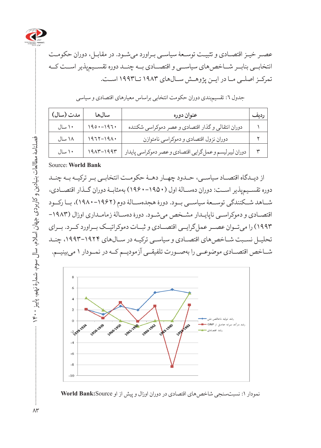

عصـر خیـز اقتصـادی و تثبیـت توسـعۀ سیاسـی بـراورد میشـود. در مقابـل، دوران حکومـت انتخابــی بنابــر شــاخصهای سیاســی و اقتصــادی بــه چنــد دوره تقســیمپذیر اســت کــه تمرکــز اصلــی مــا در ایــن پژوهــش ســالهای 1983 تــا1993 اســت.

| مدت (سال) | سالها         | عنوان دوره                                             | رديف |
|-----------|---------------|--------------------------------------------------------|------|
| ۱۰ سال    | $190 - 197.$  | دوران انتقالي و گذار اقتصادي و عصر دموكراسي شكننده     |      |
| ۱۸ سال    | $1977 - 191.$ | دوران نزول اقتصادي و دموكراسي نامتوازن                 |      |
| ۱۰ سال    | $191 - 1997$  | دوران ليبرليسم وعمل گرايي اقتصادي وعصر دموكراسي پايدار |      |

جدول ٦: تقسیم بندی دوران حکومت انتخابی براساس معیارهای اقتصادی و سیاسی

#### **Source: World Bank**

از دیــدگاه اقتصــاد سیاســی، حــدود چهــار دهــۀ حکومــت انتخابــی بــر ترکیــه بــه چنــد دوره تقســیمپذیر اســت: دوران دهســالۀ اول )۱۹۶۰-۱۹۵۰( بهمثابــۀ دوران گــذار اقتصــادی، شــاهد شــکنندگی توســعۀ سیاســی بــود. دورۀ هجدهســالۀ دوم )۱۹۸۰-۱۹۶۲(، بــا رکــود اقتصـادی و دموکراسـی ناپایـدار مشـخص میشـود. دورۀ دهسـالۀ زمامـداری اوزال )-۱۹۸۳ ۱۹۹۳( را میتــوان عصــر عملگرایــی اقتصــادی و ثبــات دموکراتیــک بــراورد کــرد. بــرای تحلیـل نسـبت شـاخصهای اقتصـادی و سیاسـی ترکیـه در سـالهای ،۱۹۹۳-۱۹۲۴ چنـد شــاخص اقتصــادی موضوعــی را بهصــورت تلفیقــی آزمودیــم کــه در نمــودار 1 میبینیــم.



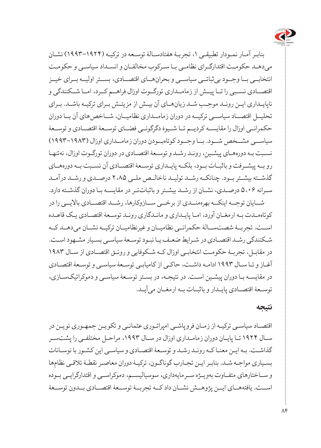

بنابـر آمـار نمـودار تطبیقـی ،1 تجربـۀ هفتادسـالۀ توسـعه در ترکیـه )۱۹۹۳-۱۹۲۴( نشـان میدهـد حکومـت اقتدارگـرای نظامـی بـا سـرکوب مخالفـان و انسـداد سیاسـی و حکومـت انتخابــی بــا وجــود بیثباتــی سیاســی و بحرانهــای اقتصــادی، بســتر اولیــه بــرای خیــز اقتصــادی نســبی را تــا پیــش از زمامــداری تورگــوت اوزال فراهــم کــرد، امــا شــکنندگی و ناپایـداری ایـن رونـد موجـب شـد زیانهـای آن بیـش از مزیتـش بـرای ترکیـه باشـد. بـرای تحلیــل اقتصــاد سیاســی ترکیــه در دوران زمامــداری نظامیــان، شــاخصهای آن بــا دوران حکمرانــی اوزال را مقایســه کردیــم تــا شــیوۀ دگرگونــی فضــای توســعۀ اقتصــادی و توســعۀ سیاســی مشــخص شــود. بــا وجــود کوتاهبــودن دوران زمامــداری اوزال )۱۹۹۳-۱۹۸۳( نسـبت بـه دورههـای پیشـین، رونـد رشـد و توسـعۀ اقتصـادی در دوران تورگـوت اوزال، نهتنهـا رو بــه پیشــرفت و باثبــات بــود، بلکــه پایــداری توســعۀ اقتصــادی آن نســبت بــه دورههــای گذشــته بیشــتر بــود. چنانکــه رشــد تولیــد ناخالــص ملــی ۲،۸۵ درصــدی و رشــد درآمــد سـرانه ۵،۰۶ درصـدی، نشـان از رشـد بیشـتر و باثباتتـر در مقایسـه بـا دوران گذشـته دارد. شــایان توجــه اینکــه بهرهمنــدی از برخــی ســازوکارها، رشــد اقتصــادی باالیــی را در

کوتاهمـدت بـه ارمغـان آورد، امـا پایـداری و مانـدگاری رونـد توسـعۀ اقتصـادی یـک قاعـده اســت. تجربــۀ شصتســالۀ حکمرانــی نظامیــان و غیرنظامیــان ترکیــه نشــان میدهــد کــه شـکنندگی رشـد اقتصـادی در شـرایط ضعـف یـا نبـود توسـعۀ سیاسـی بسـیار مشـهود اسـت. در مقابـل، تجربـۀ حکومـت انتخابـی اوزال کـه شـکوفایی و رونـق اقتصـادی از سـال ۱۹۸۳ آغـاز و تـا سـال ۱۹۹۳ ادامـه داشـت، حاکـی از کامیابـی توسـعۀ سیاسـی و توسـعۀ اقتصـادی در مقایسـه بـا دوران پیشـین اسـت. در نتیجـه، در بسـتر توسـعۀ سیاسـی و دموکراتیکسـازی، توســعۀ اقتصــادی پایــدار و باثبــات بــه ارمغــان میآیــد.

**نتیجه** 

اقتصـاد سیاسـی ترکیـه از زمـان فروپاشـی امپراتـوری عثمانـی و تکویـن جمهـوری نویـن در سـال ۱۹۲۴ تـا پایـان دوران زمامـداری اوزال در سـال ،۱۹۹۳ مراحـل مختلفـی را پشتسـر گذاشـت. بـه ایـن معنـا کـه رونـد رشـد و توسـعۀ اقتصـادی و سیاسـی این کشـور با نوسـانات بسـیاری مواجـه شـد. بنابـر ایـن تجـارب گوناگـون، ترکیـۀ دوران معاصـر نقطـۀ تالقـی نظامها و سـاختارهای متفـاوت بهویـژه سـرمایهداری، سوسیالیسـم، دموکراسـی و اقتدارگرایـی بـوده اســت. یافتههــای ایــن پژوهــش نشــان داد کــه تجربــۀ توســعۀ اقتصــادی بــدون توســعۀ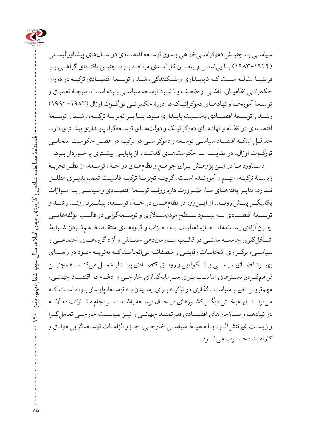

سیاسـی یـا جنبـش دموکراسـیخواهی بـدون توسـعۀ اقتصـادی در سـالهای پیشااوزالیسـتی )۱۹۸۳-۱۹۲۴( بــا بیثباتــی و بحــران کارآمــدی مواجــه بــود. چنیــن یافتــهای گواهــی بــر فرضیــۀ مقالــه اســت کــه ناپایــداری و شــکنندگی رشــد و توســعۀ اقتصــادی ترکیــه در دوران حکمرانـی نظامیـان، ناشـی از ضعـف یـا نبـود توسـعۀ سیاسـی بـوده اسـت. نتیجـۀ تعمیـق و توســعۀ آموزههــا و نهادهــای دموکراتیــک در دورۀ حکمرانــی تورگــوت اوزال )۱۹۹۳-۱۹۸۳( رشــد و توســعۀ اقتصــادی بهنســبت پایــداری بــود. بنــا بــر تجربــۀ ترکیــه، رشــد و توســعۀ اقتصـادی در نظـام و نهادهـای دموکراتیـک و دولتهـای توسـعهگرا، پایـداری بیشـتری دارد. حداقـل اینکـه اقتصـاد سیاسـی توسـعه و دموکراسـی در ترکیـه در عصـر حکومـت انتخابـی تورگـوت اوزال، در مقایسـه بـا حکومتهـای گذشـته، از پایایـی بیشـتری برخـوردار بـود.

دسـتاورد مـا در ایـن پژوهـش بـرای جوامـع و نظامهـای در حـال توسـعه، از نظـر تجربـۀ زیس تۀ ترکی ه، مه م و آموزنــده استــ. گرچــه تجربــۀ ترکیــه قابلیــت تعمیمپذیــری مطلــق نــدارد، بنابــر یافتههــای مــا، ضــرورت دارد رونــد توســعۀ اقتصــادی و سیاســی بــه مــوازات یکدیگــر پیــش رونــد. از ایــنرو، در نظامهــای در حــال توســعه، پیشــبرد رونــد رشــد و توســعۀ اقتصــادی بــه بهبــود ســطح مردمســاالری و توســعهگرایی در قالــب مؤلفههایــی چــون آزادی رســانهها، اجــازۀ فعالیــت بــه احــزاب و گروههــای منتقــد، فراهمکــردن شــرایط شــکلگیری جامعــۀ مدنــی در قالــب ســازماندهی مســتقل و آزاد گروههــای اجتماعــی و سیاســی، برگــزاری انتخابــات رقابتــی و منصفانــه میانجامــد کــه بهنوبــۀ خــود در راســتای بهبــود فضــای سیاســی و شــکوفایی و رونــق اقتصــادی پایــدار عمــل میکنــد. همچنیــن فراهمکـردن بسـترهای مناسـب بـرای سـرمایهگذاری خارجـی و ادغـام در اقتصـاد جهانـی، مهمتریـن تغییـر سیاسـتگذاری در ترکیـه بـرای رسـیدن بـه توسـعۀ پایـدار بـوده اسـت کـه میتوانـد الهامبخـش دیگـر کشـورهای در حـال توسـعه باشـد. سـرانجام مشـارکت فعاالنـه در نهادهــا و ســازمانهای اقتصــادی قدرتمنــد جهانــی و نیــز سیاســت خارجــی تعاملگــرا و زیســت غیرتنشآلــود بــا محیــط سیاســی خارجــی، جــزو الزامــات توســعهگرایی موفــق و کارآمــد محســوب میشــود.

 فصلنامۀ مطالعات بنیادین و کاربردی جهان اسالم، سال سوم، شمارۀ نهم، پاییز 1400 فصلنامه مطالعات بنیادین و کاربردی جهان اسلام، سال سوم، شمارهٔ نهم، پاییز  $\Uparrow$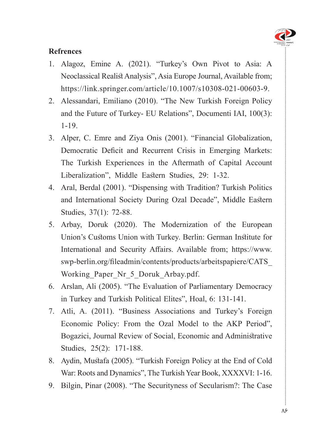

#### **Refrences**

- 1. Alagoz, Emine A. (2021). "Turkey's Own Pivot to Asia: A Neoclassical Realist Analysis", Asia Europe Journal, Available from; https://link.springer.com/article/10.1007/s[10308-021-00603-9](https://link.springer.com/article/10.1007/s10308-021-00603-9).
- 2. Alessandari, Emiliano (2010). "The New Turkish Foreign Policy and the Future of Turkey- EU Relations", Documenti IAI, 100(3): 1-19.
- 3. Alper, C. Emre and Ziya Onis (2001). "Financial Globalization, Democratic Deficit and Recurrent Crisis in Emerging Markets: The Turkish Experiences in the Aftermath of Capital Account Liberalization", Middle Eastern Studies, 29: 1-32.
- 4. Aral, Berdal (2001). "Dispensing with Tradition? Turkish Politics and International Society During Ozal Decade", Middle Eastern Studies, 37(1): 72-88.
- 5. Arbay, Doruk (2020). The Modernization of the European Union's Customs Union with Turkey. Berlin: German Institute for International and Security Affairs. Available from; https://www. swp-berlin.org/fileadmin/contents/products/arbeitspapiere/CATS Working Paper Nr 5 Doruk Arbay.pdf.
- 6. Arslan, Ali (2005). "The Evaluation of Parliamentary Democracy in Turkey and Turkish Political Elites", Hoal, 6: 131-141.
- 7. Atli, A. (2011). "Business Associations and Turkey's Foreign Economic Policy: From the Ozal Model to the AKP Period", Bogazici, Journal Review of Social, Economic and Administrative Studies, 25(2): 171-188.
- 8. Aydin, Mustafa (2005). "Turkish Foreign Policy at the End of Cold War: Roots and Dynamics", The Turkish Year Book, XXXXVI: 1-16.
- 9. Bilgin, Pinar (2008). "The Securityness of Secularism?: The Case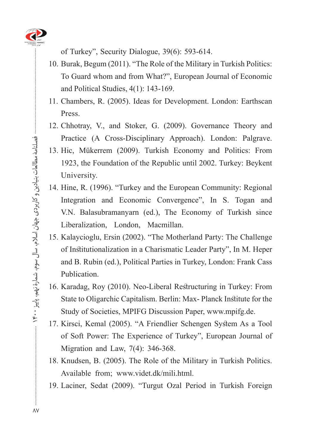

of Turkey", Security Dialogue,  $39(6)$ : 593-614.

- 10. Burak, Begum (2011). "The Role of the Military in Turkish Politics: To Guard whom and from What?", European Journal of Economic and Political Studies,  $4(1)$ : 143-169.
- 11. Chambers, R. (2005). Ideas for Development. London: Earthscan Press.
- 12. Chhotray, V., and Stoker, G. (2009). Governance Theory and Practice (A Cross-Disciplinary Approach). London: Palgrave.
- 13. Hic, Mükerrem (2009). Turkish Economy and Politics: From 1923, the Foundation of the Republic until 2002. Turkey: Beykent University.
- 14. Hine, R. (1996). "Turkey and the European Community: Regional Integration and Economic Convergence", In S. Togan and V.N. Balasubramanyarn (ed.), The Economy of Turkish since Liberalization, London, Macmillan.
- 15. Kalaycioglu, Ersin (2002). "The Motherland Party: The Challenge of Institutionalization in a Charismatic Leader Party", In M. Heper and B. Rubin (ed.), Political Parties in Turkey, London: Frank Cass Publication.
- 16. Karadag, Roy (2010). Neo-Liberal Restructuring in Turkey: From State to Oligarchic Capitalism. Berlin: Max - Planck Institute for the Study of Societies, MPIFG Discussion Paper, www.mpifg.de.
- 17. Kirsci, Kemal (2005). "A Friendlier Schengen System As a Tool of Soft Power: The Experience of Turkey", European Journal of Migration and Law,  $7(4)$ : 346-368.
- 18. Knudsen, B. (2005). The Role of the Military in Turkish Politics. Available from; www.videt.dk/mili.html.
- 19. Laciner, Sedat (2009). "Turgut Ozal Period in Turkish Foreign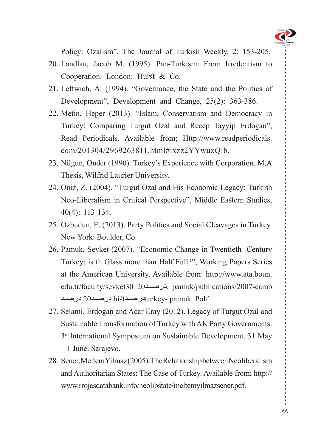

Policy: Ozalism", The Journal of Turkish Weekly, 2: 153-205.

- 20. Landlau, Jacob M. (1995). Pan-Turkism: From Irredentism to Cooperation. London: Hurst & Co.
- 21. Leftwich, A. (1994). "Governance, the State and the Politics of Development", Development and Change, 25(2): 363-386.
- 22. Metin, Heper (2013). "Islam, Conservatism and Democracy in Turkey: Comparing Turgut Ozal and Recep Tayyip Erdogan", Read Periodicals. Available from: Http://www.readperiodicals. com/201304/2969263811.html#ixzz2YYwuxOlb.
- 23. Nilgun, Onder (1990). Turkey's Experience with Corporation. M.A. Thesis, Wilfrid Laurier University.
- 24. Oniz, Z. (2004). "Turgut Ozal and His Economic Legacy: Turkish Neo-Liberalism in Critical Perspective", Middle Eastern Studies,  $40(4): 113-134.$
- 25. Ozbudun, E. (2013). Party Politics and Social Cleavages in Turkey. New York: Boulder, Co.
- 26. Pamuk, Sevket (2007). "Economic Change in Twentieth- Century Turkey: is th Glass more than Half Full?", Working Papers Series at the American University, Available from: http://www.ata.boun. edu.tr/faculty/sevket30 20 .[درصــد](http://www.ata.boun.edu.tr/faculty/sevket%20)20 30sevket/faculty/sevket/ .pamuk. Polf در صـد20 درصـد $\tanu$ درصـدhist در
- 27. Selami, Erdogan and Acar Eray (2012). Legacy of Turgut Ozal and Sustainable Transformation of Turkey with AK Party Governments.  $3<sup>rd</sup>$  International Symposium on Sustainable Development. 31 May  $-1$  June. Sarajevo.
- 28. Sener, Meltem Yilmaz (2005). The Relationship between Neoliberalism andAuthoritarian States: The Case of Turkey. Available from; http:// www.rrojasdatabank.info/neolibstate/meltemyilmazsener.pdf.